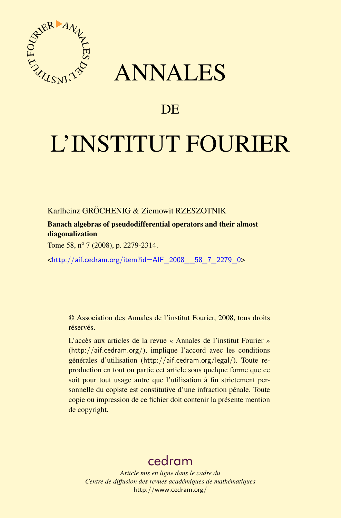

# ANNALES

# **DE**

# L'INSTITUT FOURIER

Karlheinz GRÖCHENIG & Ziemowit RZESZOTNIK

Banach algebras of pseudodifferential operators and their almost diagonalization

Tome 58, nº 7 (2008), p. 2279-2314.

<[http://aif.cedram.org/item?id=AIF\\_2008\\_\\_58\\_7\\_2279\\_0](http://aif.cedram.org/item?id=AIF_2008__58_7_2279_0)>

© Association des Annales de l'institut Fourier, 2008, tous droits réservés.

L'accès aux articles de la revue « Annales de l'institut Fourier » (<http://aif.cedram.org/>), implique l'accord avec les conditions générales d'utilisation (<http://aif.cedram.org/legal/>). Toute reproduction en tout ou partie cet article sous quelque forme que ce soit pour tout usage autre que l'utilisation à fin strictement personnelle du copiste est constitutive d'une infraction pénale. Toute copie ou impression de ce fichier doit contenir la présente mention de copyright.

# [cedram](http://www.cedram.org/)

*Article mis en ligne dans le cadre du Centre de diffusion des revues académiques de mathématiques* <http://www.cedram.org/>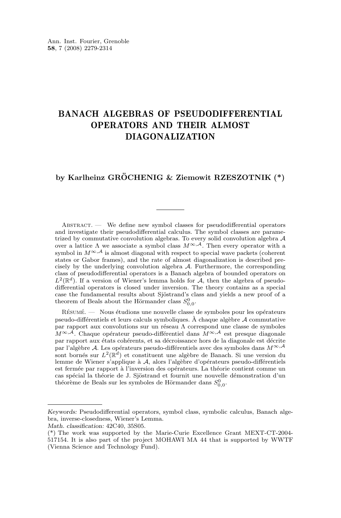# BANACH ALGEBRAS OF PSEUDODIFFERENTIAL OPERATORS AND THEIR ALMOST DIAGONALIZATION

# **by Karlheinz GRÖCHENIG & Ziemowit RZESZOTNIK (\*)**

ABSTRACT. — We define new symbol classes for pseudodifferential operators and investigate their pseudodifferential calculus. The symbol classes are parametrized by commutative convolution algebras. To every solid convolution algebra A over a lattice  $\Lambda$  we associate a symbol class  $M^{\infty, \mathcal{A}}$ . Then every operator with a symbol in  $M^{\infty, \mathcal{A}}$  is almost diagonal with respect to special wave packets (coherent states or Gabor frames), and the rate of almost diagonalization is described precisely by the underlying convolution algebra A. Furthermore, the corresponding class of pseudodifferential operators is a Banach algebra of bounded operators on  $L^2(\mathbb{R}^d)$ . If a version of Wiener's lemma holds for A, then the algebra of pseudodifferential operators is closed under inversion. The theory contains as a special case the fundamental results about Sjöstrand's class and yields a new proof of a theorem of Beals about the Hörmander class  $S_{0,0}^0$ .

Résumé. — Nous étudions une nouvelle classe de symboles pour les opérateurs pseudo-différentiels et leurs calculs symboliques. À chaque algèbre A commutative par rapport aux convolutions sur un réseau Λ correspond une classe de symboles  $M^{\infty, \mathcal{A}}$ . Chaque opérateur pseudo-différentiel dans  $M^{\infty, \mathcal{A}}$  est presque diagonale par rapport aux états cohérents, et sa décroissance hors de la diagonale est décrite par l'algèbre A. Les opérateurs pseudo-différentiels avec des symboles dans  $M^{\infty,A}$ sont bornés sur  $L^2(\mathbb{R}^d)$  et constituent une algèbre de Banach. Si une version du lemme de Wiener s'applique à A, alors l'algèbre d'opérateurs pseudo-différentiels est fermée par rapport à l'inversion des opérateurs. La théorie contient comme un cas spécial la théorie de J. Sjöstrand et fournit une nouvelle démonstration d'un théorème de Beals sur les symboles de Hörmander dans  $S_{0,0}^0.$ 

*Keywords:* Pseudodifferential operators, symbol class, symbolic calculus, Banach algebra, inverse-closedness, Wiener's Lemma.

*Math. classification:* 42C40, 35S05.

<sup>(\*)</sup> The work was supported by the Marie-Curie Excellence Grant MEXT-CT-2004- 517154. It is also part of the project MOHAWI MA 44 that is supported by WWTF (Vienna Science and Technology Fund).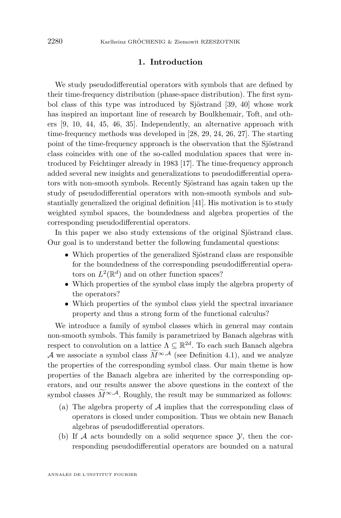# **1. Introduction**

We study pseudodifferential operators with symbols that are defined by their time-frequency distribution (phase-space distribution). The first symbol class of this type was introduced by Sjöstrand [\[39,](#page-36-0) [40\]](#page-36-0) whose work has inspired an important line of research by Boulkhemair, Toft, and others [\[9,](#page-34-0) [10,](#page-34-0) [44,](#page-36-0) [45,](#page-36-0) [46,](#page-36-0) [35\]](#page-35-0). Independently, an alternative approach with time-frequency methods was developed in [\[28,](#page-35-0) [29,](#page-35-0) [24,](#page-35-0) [26,](#page-35-0) [27\]](#page-35-0). The starting point of the time-frequency approach is the observation that the Sjöstrand class coincides with one of the so-called modulation spaces that were introduced by Feichtinger already in 1983 [\[17\]](#page-35-0). The time-frequency approach added several new insights and generalizations to pseudodifferential operators with non-smooth symbols. Recently Sjöstrand has again taken up the study of pseudodifferential operators with non-smooth symbols and substantially generalized the original definition [\[41\]](#page-36-0). His motivation is to study weighted symbol spaces, the boundedness and algebra properties of the corresponding pseudodifferential operators.

In this paper we also study extensions of the original Sjöstrand class. Our goal is to understand better the following fundamental questions:

- Which properties of the generalized Sjöstrand class are responsible for the boundedness of the corresponding pseudodifferential operators on  $L^2(\mathbb{R}^d)$  and on other function spaces?
- Which properties of the symbol class imply the algebra property of the operators?
- Which properties of the symbol class yield the spectral invariance property and thus a strong form of the functional calculus?

We introduce a family of symbol classes which in general may contain non-smooth symbols. This family is parametrized by Banach algebras with respect to convolution on a lattice  $\Lambda \subseteq \mathbb{R}^{2d}$ . To each such Banach algebra A we associate a symbol class  $\widetilde{M}^{\infty,A}$  (see Definition [4.1\)](#page-12-0), and we analyze the properties of the corresponding symbol class. Our main theme is how properties of the Banach algebra are inherited by the corresponding operators, and our results answer the above questions in the context of the symbol classes  $\widetilde{M}^{\infty,\mathcal{A}}$ . Roughly, the result may be summarized as follows:

- (a) The algebra property of  $A$  implies that the corresponding class of operators is closed under composition. Thus we obtain new Banach algebras of pseudodifferential operators.
- (b) If  $A$  acts boundedly on a solid sequence space  $Y$ , then the corresponding pseudodifferential operators are bounded on a natural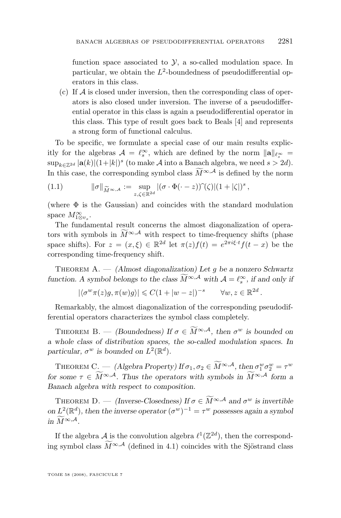function space associated to  $\mathcal{Y}$ , a so-called modulation space. In particular, we obtain the  $L^2$ -boundedness of pseudodifferential operators in this class.

(c) If  $\mathcal A$  is closed under inversion, then the corresponding class of operators is also closed under inversion. The inverse of a pseudodifferential operator in this class is again a pseudodifferential operator in this class. This type of result goes back to Beals [\[4\]](#page-34-0) and represents a strong form of functional calculus.

To be specific, we formulate a special case of our main results explicitly for the algebras  $\mathcal{A} = \ell_s^{\infty}$ , which are defined by the norm  $\|\mathbf{a}\|_{\ell_s^{\infty}} =$  $\sup_{k\in\mathbb{Z}^{2d}} |\mathbf{a}(k)| (1+|k|)^s$  (to make A into a Banach algebra, we need  $s > 2d$ ). In this case, the corresponding symbol class  $\widetilde{M}^{\infty,A}$  is defined by the norm

(1.1) 
$$
\|\sigma\|_{\widetilde{M}^{\infty,A}} := \sup_{z,\zeta \in \mathbb{R}^{2d}} |(\sigma \cdot \Phi(\cdot - z))\widetilde{\ }(\zeta)| (1 + |\zeta|)^s,
$$

(where  $\Phi$  is the Gaussian) and coincides with the standard modulation space  $M^{\infty}_{1\otimes v_s}$ .

The fundamental result concerns the almost diagonalization of operators with symbols in  $\widetilde{M}^{\infty,A}$  with respect to time-frequency shifts (phase space shifts). For  $z = (x, \xi) \in \mathbb{R}^{2d}$  let  $\pi(z)f(t) = e^{2\pi i\xi \cdot t}f(t-x)$  be the corresponding time-frequency shift.

Theorem A. — *(Almost diagonalization) Let* g *be a nonzero Schwartz function.* A symbol belongs to the class  $M^{\infty,A}$  with  $\mathcal{A} = \ell_s^{\infty}$ , if and only if

$$
|\langle \sigma^w \pi(z)g, \pi(w)g \rangle| \leq C(1+|w-z|)^{-s} \qquad \forall w, z \in \mathbb{R}^{2d}
$$

.

Remarkably, the almost diagonalization of the corresponding pseudodifferential operators characterizes the symbol class completely.

THEOREM B. — *(Boundedness)* If  $\sigma \in \widetilde{M}^{\infty,A}$ , then  $\sigma^w$  is bounded on *a whole class of distribution spaces, the so-called modulation spaces. In* particular,  $\sigma^w$  is bounded on  $L^2(\mathbb{R}^d)$ .

THEOREM C. — *(Algebra Property)* If  $\sigma_1, \sigma_2 \in \widetilde{M}^{\infty, \mathcal{A}},$  then  $\sigma_1^w \sigma_2^w = \tau^w$ *for some*  $\tau \in \widetilde{M}^{\infty,A}$ . Thus the operators with symbols in  $\widetilde{M}^{\infty,A}$  form a *Banach algebra with respect to composition.*

THEOREM D. — *(Inverse-Closedness)* If  $\sigma \in \widetilde{M}^{\infty,A}$  and  $\sigma^w$  is invertible *on*  $L^2(\mathbb{R}^d)$ , then the inverse operator  $(\sigma^w)^{-1} = \tau^w$  possesses again a symbol *in*  $\widetilde{M}^{\infty,\mathcal{A}}$ .

If the algebra  $\mathcal A$  is the convolution algebra  $\ell^1(\mathbb Z^{2d})$ , then the corresponding symbol class  $\widetilde{M}^{\infty,A}$  (defined in [4.1\)](#page-12-0) coincides with the Sjöstrand class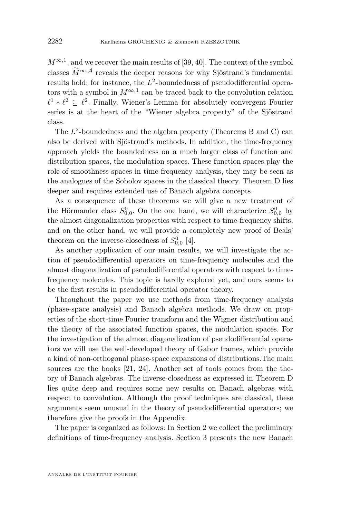$M^{\infty,1}$ , and we recover the main results of [\[39,](#page-36-0) [40\]](#page-36-0). The context of the symbol classes  $\widetilde{M}^{\infty,A}$  reveals the deeper reasons for why Sjöstrand's fundamental results hold: for instance, the  $L^2$ -boundedness of pseudodifferential operators with a symbol in  $M^{\infty,1}$  can be traced back to the convolution relation  $\ell^1 * \ell^2 \subseteq \ell^2$ . Finally, Wiener's Lemma for absolutely convergent Fourier series is at the heart of the "Wiener algebra property" of the Sjöstrand class.

The  $L^2$ -boundedness and the algebra property (Theorems B and C) can also be derived with Sjöstrand's methods. In addition, the time-frequency approach yields the boundedness on a much larger class of function and distribution spaces, the modulation spaces. These function spaces play the role of smoothness spaces in time-frequency analysis, they may be seen as the analogues of the Sobolov spaces in the classical theory. Theorem D lies deeper and requires extended use of Banach algebra concepts.

As a consequence of these theorems we will give a new treatment of the Hörmander class  $S_{0,0}^0$ . On the one hand, we will characterize  $S_{0,0}^0$  by the almost diagonalization properties with respect to time-frequency shifts, and on the other hand, we will provide a completely new proof of Beals' theorem on the inverse-closedness of  $S_{0,0}^0$  [\[4\]](#page-34-0).

As another application of our main results, we will investigate the action of pseudodifferential operators on time-frequency molecules and the almost diagonalization of pseudodifferential operators with respect to timefrequency molecules. This topic is hardly explored yet, and ours seems to be the first results in pseudodifferential operator theory.

Throughout the paper we use methods from time-frequency analysis (phase-space analysis) and Banach algebra methods. We draw on properties of the short-time Fourier transform and the Wigner distribution and the theory of the associated function spaces, the modulation spaces. For the investigation of the almost diagonalization of pseudodifferential operators we will use the well-developed theory of Gabor frames, which provide a kind of non-orthogonal phase-space expansions of distributions.The main sources are the books [\[21,](#page-35-0) [24\]](#page-35-0). Another set of tools comes from the theory of Banach algebras. The inverse-closedness as expressed in Theorem D lies quite deep and requires some new results on Banach algebras with respect to convolution. Although the proof techniques are classical, these arguments seem unusual in the theory of pseudodifferential operators; we therefore give the proofs in the Appendix.

The paper is organized as follows: In Section 2 we collect the preliminary definitions of time-frequency analysis. Section 3 presents the new Banach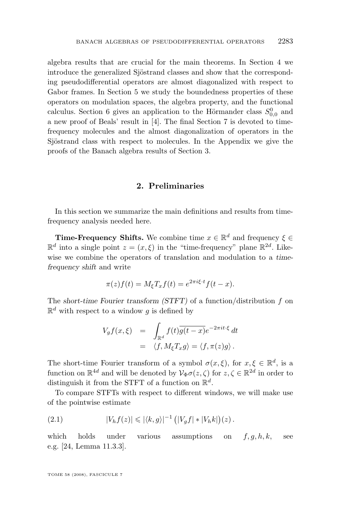<span id="page-5-0"></span>algebra results that are crucial for the main theorems. In Section 4 we introduce the generalized Sjöstrand classes and show that the corresponding pseudodifferential operators are almost diagonalized with respect to Gabor frames. In Section 5 we study the boundedness properties of these operators on modulation spaces, the algebra property, and the functional calculus. Section 6 gives an application to the Hörmander class  $S_{0,0}^0$  and a new proof of Beals' result in [\[4\]](#page-34-0). The final Section 7 is devoted to timefrequency molecules and the almost diagonalization of operators in the Sjöstrand class with respect to molecules. In the Appendix we give the proofs of the Banach algebra results of Section 3.

# **2. Preliminaries**

In this section we summarize the main definitions and results from timefrequency analysis needed here.

**Time-Frequency Shifts.** We combine time  $x \in \mathbb{R}^d$  and frequency  $\xi \in$  $\mathbb{R}^d$  into a single point  $z = (x, \xi)$  in the "time-frequency" plane  $\mathbb{R}^{2d}$ . Likewise we combine the operators of translation and modulation to a *timefrequency shift* and write

$$
\pi(z)f(t) = M_{\xi}T_{x}f(t) = e^{2\pi i\xi \cdot t}f(t - x).
$$

The *short-time Fourier transform (STFT)* of a function/distribution f on  $\mathbb{R}^d$  with respect to a window g is defined by

$$
V_g f(x,\xi) = \int_{\mathbb{R}^d} f(t) \overline{g(t-x)} e^{-2\pi i t \cdot \xi} dt
$$
  
=  $\langle f, M_{\xi} T_x g \rangle = \langle f, \pi(z) g \rangle.$ 

The short-time Fourier transform of a symbol  $\sigma(x,\xi)$ , for  $x,\xi \in \mathbb{R}^d$ , is a function on  $\mathbb{R}^{4d}$  and will be denoted by  $\mathcal{V}_{\Phi}\sigma(z,\zeta)$  for  $z,\zeta \in \mathbb{R}^{2d}$  in order to distinguish it from the STFT of a function on  $\mathbb{R}^d$ .

To compare STFTs with respect to different windows, we will make use of the pointwise estimate

(2.1) 
$$
|V_h f(z)| \leq |\langle k, g \rangle|^{-1} (|V_g f| * |V_h k|)(z).
$$

which holds under various assumptions on  $f, g, h, k$ , see e.g. [\[24,](#page-35-0) Lemma 11.3.3].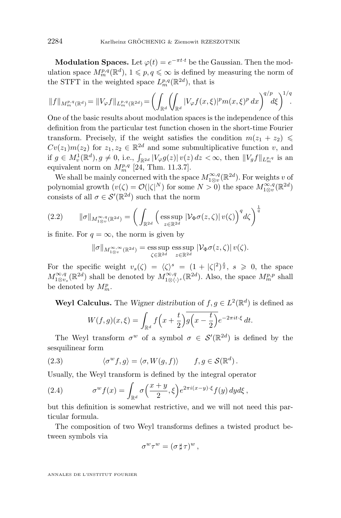<span id="page-6-0"></span>**Modulation Spaces.** Let  $\varphi(t) = e^{-\pi t \cdot t}$  be the Gaussian. Then the modulation space  $M_{m}^{p,q}(\mathbb{R}^{d}), 1 \leqslant p, q \leqslant \infty$  is defined by measuring the norm of the STFT in the weighted space  $L_m^{p,q}(\mathbb{R}^{2d})$ , that is

$$
||f||_{M_m^{p,q}(\mathbb{R}^d)} = ||V_{\varphi}f||_{L_m^{p,q}(\mathbb{R}^{2d})} = \left(\int_{\mathbb{R}^d} \left(\int_{\mathbb{R}^d} |V_{\varphi}f(x,\xi)|^p m(x,\xi)^p dx\right)^{q/p} d\xi\right)^{1/q}.
$$

One of the basic results about modulation spaces is the independence of this definition from the particular test function chosen in the short-time Fourier transform. Precisely, if the weight satisfies the condition  $m(z_1 + z_2) \leq$  $Cv(z_1)m(z_2)$  for  $z_1, z_2 \in \mathbb{R}^{2d}$  and some submultiplicative function v, and if  $g \in M_v^1(\mathbb{R}^d), g \neq 0$ , i.e.,  $\int_{\mathbb{R}^{2d}} |V_{\varphi}g(z)| v(z) dz < \infty$ , then  $||V_g f||_{L_m^{p,q}}$  is an equivalent norm on  $M_{m}^{p,q}$  [\[24,](#page-35-0) Thm. 11.3.7].

We shall be mainly concerned with the space  $M^{\infty,q}_{1\otimes v}(\mathbb{R}^{2d})$ . For weights v of polynomial growth  $(v(\zeta) = \mathcal{O}(|\zeta|^N)$  for some  $N > 0$ ) the space  $M_{1\otimes v}^{\infty,q}(\mathbb{R}^{2d})$ consists of all  $\sigma \in \mathcal{S}'(\mathbb{R}^{2d})$  such that the norm

$$
(2.2) \qquad \|\sigma\|_{M^{\infty,q}_{1\otimes v}(\mathbb{R}^{2d})} = \bigg(\int_{\mathbb{R}^{2d}} \bigg(\operatorname{ess} \operatorname{sup}_{z \in \mathbb{R}^{2d}} |\mathcal{V}_{\Phi}\sigma(z,\zeta)| \, v(\zeta)\bigg)^q d\zeta\bigg)^{\frac{1}{q}}
$$

is finite. For  $q = \infty$ , the norm is given by

$$
\|\sigma\|_{M^{\infty,\infty}_{1\otimes v}(\mathbb{R}^{2d})}=\operatorname*{ess\,sup}_{\zeta\in\mathbb{R}^{2d}}\,\operatorname*{ess\,sup}_{z\in\mathbb{R}^{2d}}|\mathcal{V}_{\Phi}\sigma(z,\zeta)|\,v(\zeta).
$$

For the specific weight  $v_s(\zeta) = \langle \zeta \rangle^s = (1 + |\zeta|^2)^{\frac{s}{2}}, s \geq 0$ , the space  $M^{\infty,q}_{1\otimes v_s}(\mathbb{R}^{2d})$  shall be denoted by  $M^{\infty,q}_{1\otimes\langle\cdot\rangle^s}(\mathbb{R}^{2d})$ . Also, the space  $M^{p,p}_m$  shall be denoted by  $M_m^p$ .

**Weyl Calculus.** The *Wigner distribution* of  $f, g \in L^2(\mathbb{R}^d)$  is defined as

$$
W(f,g)(x,\xi) = \int_{\mathbb{R}^d} f\left(x + \frac{t}{2}\right) \overline{g\left(x - \frac{t}{2}\right)} e^{-2\pi i t \cdot \xi} dt.
$$

The Weyl transform  $\sigma^w$  of a symbol  $\sigma \in \mathcal{S}'(\mathbb{R}^{2d})$  is defined by the sesquilinear form

(2.3) 
$$
\langle \sigma^w f, g \rangle = \langle \sigma, W(g, f) \rangle \qquad f, g \in \mathcal{S}(\mathbb{R}^d).
$$

Usually, the Weyl transform is defined by the integral operator

(2.4) 
$$
\sigma^w f(x) = \int_{\mathbb{R}^d} \sigma\left(\frac{x+y}{2}, \xi\right) e^{2\pi i (x-y)\cdot \xi} f(y) \, dyd\xi,
$$

but this definition is somewhat restrictive, and we will not need this particular formula.

The composition of two Weyl transforms defines a twisted product between symbols via

$$
\sigma^w \tau^w = (\sigma \sharp \tau)^w,
$$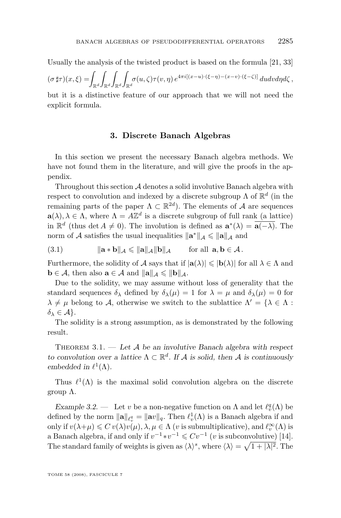<span id="page-7-0"></span>Usually the analysis of the twisted product is based on the formula [\[21,](#page-35-0) [33\]](#page-35-0)

 $(\sigma \sharp \tau) (x,\xi) = \int_{\mathbb{R}^d}$ Z  $\mathbb{R}^d$  $\overline{a}$  $\mathbb{R}^d$ Z  $\int_{\mathbb{R}^d} \sigma(u,\zeta) \tau(v,\eta) \, e^{4\pi i [(x-u)\cdot (\xi-\eta) - (x-v)\cdot (\xi-\zeta)]} \, du dv d\eta d\zeta \, ,$ 

but it is a distinctive feature of our approach that we will not need the explicit formula.

# **3. Discrete Banach Algebras**

In this section we present the necessary Banach algebra methods. We have not found them in the literature, and will give the proofs in the appendix.

Throughout this section  $\mathcal A$  denotes a solid involutive Banach algebra with respect to convolution and indexed by a discrete subgroup  $\Lambda$  of  $\mathbb{R}^d$  (in the remaining parts of the paper  $\Lambda \subset \mathbb{R}^{2d}$ . The elements of  $\mathcal A$  are sequences  $\mathbf{a}(\lambda), \lambda \in \Lambda$ , where  $\Lambda = A\mathbb{Z}^d$  is a discrete subgroup of full rank (a lattice) in  $\mathbb{R}^d$  (thus det  $A \neq 0$ ). The involution is defined as  $\mathbf{a}^*(\lambda) = \overline{\mathbf{a}(-\lambda)}$ . The norm of A satisfies the usual inequalities  $\|\mathbf{a}^*\|_{\mathcal{A}} \leq \|\mathbf{a}\|_{\mathcal{A}}$  and

(3.1) 
$$
\|\mathbf{a} * \mathbf{b}\|_{\mathcal{A}} \le \|\mathbf{a}\|_{\mathcal{A}} \|\mathbf{b}\|_{\mathcal{A}} \quad \text{for all } \mathbf{a}, \mathbf{b} \in \mathcal{A}.
$$

Furthermore, the solidity of A says that if  $|\mathbf{a}(\lambda)| \leqslant |\mathbf{b}(\lambda)|$  for all  $\lambda \in \Lambda$  and  $\mathbf{b} \in \mathcal{A}$ , then also  $\mathbf{a} \in \mathcal{A}$  and  $\|\mathbf{a}\|_{\mathcal{A}} \le \|\mathbf{b}\|_{\mathcal{A}}$ .

Due to the solidity, we may assume without loss of generality that the standard sequences  $\delta_{\lambda}$  defined by  $\delta_{\lambda}(\mu) = 1$  for  $\lambda = \mu$  and  $\delta_{\lambda}(\mu) = 0$  for  $\lambda \neq \mu$  belong to A, otherwise we switch to the sublattice  $\Lambda' = {\lambda \in \Lambda : \Lambda'}$  $\delta_{\lambda} \in \mathcal{A}$ .

The solidity is a strong assumption, as is demonstrated by the following result.

Theorem 3.1. — *Let* A *be an involutive Banach algebra with respect to convolution over a lattice*  $\Lambda \subset \mathbb{R}^d$ . If A is solid, then A is continuously *embedded in*  $\ell^1(\Lambda)$ *.* 

Thus  $\ell^1(\Lambda)$  is the maximal solid convolution algebra on the discrete group Λ.

*Example 3.2.* — Let v be a non-negative function on  $\Lambda$  and let  $\ell_v^q(\Lambda)$  be defined by the norm  $\|\mathbf{a}\|_{\ell^q_v} = \|\mathbf{a}v\|_q$ . Then  $\ell^1_v(\Lambda)$  is a Banach algebra if and only if  $v(\lambda + \mu) \leqslant C v(\lambda)v(\mu), \lambda, \mu \in \Lambda$  (*v* is submultiplicative), and  $\ell_v^{\infty}(\Lambda)$  is a Banach algebra, if and only if  $v^{-1} * v^{-1} \leqslant C v^{-1}$  (*v* is subconvolutive) [\[14\]](#page-34-0). The standard family of weights is given as  $\langle \lambda \rangle^s$ , where  $\langle \lambda \rangle = \sqrt{1 + |\lambda|^2}$ . The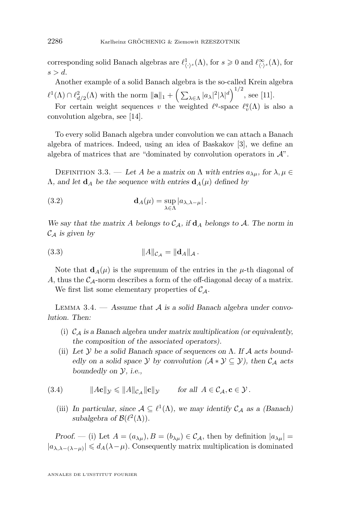<span id="page-8-0"></span>corresponding solid Banach algebras are  $\ell^1_{\langle \cdot \rangle^s}(\Lambda)$ , for  $s \geq 0$  and  $\ell^{\infty}_{\langle \cdot \rangle^s}(\Lambda)$ , for  $s > d$ .

Another example of a solid Banach algebra is the so-called Krein algebra  $\ell^1(\Lambda) \cap \ell^2_{d/2}(\Lambda)$  with the norm  $||\mathbf{a}||_1 + \left(\sum_{\lambda \in \Lambda} |a_\lambda|^2 |\lambda|^d\right)^{1/2}$ , see [\[11\]](#page-34-0).

For certain weight sequences v the weighted  $\ell^q$ -space  $\ell^q_v(\Lambda)$  is also a convolution algebra, see [\[14\]](#page-34-0).

To every solid Banach algebra under convolution we can attach a Banach algebra of matrices. Indeed, using an idea of Baskakov [\[3\]](#page-34-0), we define an algebra of matrices that are "dominated by convolution operators in  $\mathcal{A}$ ".

DEFINITION 3.3. — Let A be a matrix on  $\Lambda$  with entries  $a_{\lambda\mu}$ , for  $\lambda, \mu \in$  $\Lambda$ , and let  $\mathbf{d}_A$  be the sequence with entries  $\mathbf{d}_A(\mu)$  defined by

(3.2) 
$$
\mathbf{d}_A(\mu) = \sup_{\lambda \in \Lambda} |a_{\lambda,\lambda-\mu}|.
$$

We say that the matrix A belongs to  $C_A$ , if  $d_A$  belongs to A. The norm in  $\mathcal{C}_{\mathcal{A}}$  *is given by* 

(3.3) 
$$
||A||_{\mathcal{C}_{\mathcal{A}}} = ||\mathbf{d}_{A}||_{\mathcal{A}}.
$$

Note that  $d_A(\mu)$  is the supremum of the entries in the  $\mu$ -th diagonal of A, thus the  $C_A$ -norm describes a form of the off-diagonal decay of a matrix.

We first list some elementary properties of  $\mathcal{C}_A$ .

Lemma 3.4. — *Assume that* A *is a solid Banach algebra under convolution. Then:*

- (i) C<sup>A</sup> *is a Banach algebra under matrix multiplication (or equivalently, the composition of the associated operators).*
- (ii) *Let* Y *be a solid Banach space of sequences on* Λ*. If* A *acts boundedly on a solid space*  $\mathcal Y$  *by convolution*  $(\mathcal A * \mathcal Y \subseteq \mathcal Y)$ *, then*  $\mathcal C_{\mathcal A}$  *acts boundedly on* Y*, i.e.,*

(3.4) 
$$
\|A\mathbf{c}\|_{\mathcal{Y}} \leq \|A\|_{\mathcal{C}_{\mathcal{A}}} \|\mathbf{c}\|_{\mathcal{Y}} \quad \text{for all } A \in \mathcal{C}_{\mathcal{A}}, \mathbf{c} \in \mathcal{Y}.
$$

(iii) In particular, since  $A \subseteq \ell^1(\Lambda)$ , we may identify  $C_A$  as a (Banach) subalgebra of  $\mathcal{B}(\ell^2(\Lambda))$ .

*Proof.* — (i) Let  $A = (a_{\lambda\mu})$ ,  $B = (b_{\lambda\mu}) \in C_A$ , then by definition  $|a_{\lambda\mu}| =$  $|a_{\lambda,\lambda-(\lambda-\mu)}|\leqslant d_A(\lambda-\mu)$ . Consequently matrix multiplication is dominated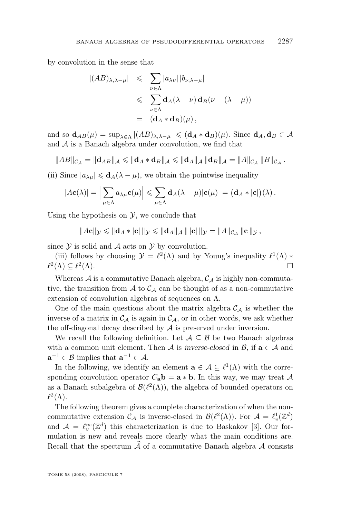by convolution in the sense that

$$
\begin{array}{rcl} |(AB)_{\lambda,\lambda-\mu}| & \leqslant & \sum_{\nu\in\Lambda} |a_{\lambda\nu}| \, |b_{\nu,\lambda-\mu}| \\ & \leqslant & \sum_{\nu\in\Lambda} \mathbf{d}_A(\lambda-\nu) \, \mathbf{d}_B(\nu-(\lambda-\mu)) \\ & = & (\mathbf{d}_A * \mathbf{d}_B)(\mu) \,, \end{array}
$$

and so  $\mathbf{d}_{AB}(\mu) = \sup_{\lambda \in \Lambda} |(AB)_{\lambda,\lambda-\mu}| \leqslant (\mathbf{d}_A * \mathbf{d}_B)(\mu)$ . Since  $\mathbf{d}_A, \mathbf{d}_B \in \mathcal{A}$ and A is a Banach algebra under convolution, we find that

$$
||AB||_{\mathcal{C}_{\mathcal{A}}} = ||\mathbf{d}_{AB}||_{\mathcal{A}} \leq ||\mathbf{d}_{A} * \mathbf{d}_{B}||_{\mathcal{A}} \leq ||\mathbf{d}_{A}||_{\mathcal{A}} ||\mathbf{d}_{B}||_{\mathcal{A}} = ||A||_{\mathcal{C}_{\mathcal{A}}} ||B||_{\mathcal{C}_{\mathcal{A}}}.
$$

(ii) Since  $|a_{\lambda\mu}| \leq \mathbf{d}_A(\lambda - \mu)$ , we obtain the pointwise inequality

$$
|A\mathbf{c}(\lambda)| = \Big|\sum_{\mu \in \Lambda} a_{\lambda\mu} \mathbf{c}(\mu)\Big| \leq \sum_{\mu \in \Lambda} \mathbf{d}_A(\lambda - \mu) |\mathbf{c}(\mu)| = (\mathbf{d}_A * |\mathbf{c}|)(\lambda).
$$

Using the hypothesis on  $\mathcal{Y}$ , we conclude that

$$
||A\mathbf{c}||_{\mathcal{Y}} \leq ||\mathbf{d}_{A} * |\mathbf{c}| ||_{\mathcal{Y}} \leq ||\mathbf{d}_{A}||_{\mathcal{A}} || |\mathbf{c}| ||_{\mathcal{Y}} = ||A||_{\mathcal{C}_{\mathcal{A}}} ||\mathbf{c}||_{\mathcal{Y}},
$$

since  $\mathcal Y$  is solid and  $\mathcal A$  acts on  $\mathcal Y$  by convolution.

(iii) follows by choosing  $\mathcal{Y} = \ell^2(\Lambda)$  and by Young's inequality  $\ell^1(\Lambda)$  \*  $\ell^2(\Lambda) \subseteq \ell^2$  $(\Lambda)$ .

Whereas  $A$  is a commutative Banach algebra,  $C_A$  is highly non-commutative, the transition from  $A$  to  $C_A$  can be thought of as a non-commutative extension of convolution algebras of sequences on  $\Lambda$ .

One of the main questions about the matrix algebra  $\mathcal{C}_{\mathcal{A}}$  is whether the inverse of a matrix in  $\mathcal{C}_{\mathcal{A}}$  is again in  $\mathcal{C}_{\mathcal{A}}$ , or in other words, we ask whether the off-diagonal decay described by  $A$  is preserved under inversion.

We recall the following definition. Let  $A \subseteq B$  be two Banach algebras with a common unit element. Then A is *inverse-closed* in  $\mathcal{B}$ , if  $\mathbf{a} \in \mathcal{A}$  and  $\mathbf{a}^{-1} \in \mathcal{B}$  implies that  $\mathbf{a}^{-1} \in \mathcal{A}$ .

In the following, we identify an element  $\mathbf{a} \in \mathcal{A} \subseteq \ell^1(\Lambda)$  with the corresponding convolution operator  $C_a \mathbf{b} = \mathbf{a} * \mathbf{b}$ . In this way, we may treat A as a Banach subalgebra of  $\mathcal{B}(\ell^2(\Lambda))$ , the algebra of bounded operators on  $\ell^2(\Lambda)$ .

The following theorem gives a complete characterization of when the noncommutative extension  $\mathcal{C}_{\mathcal{A}}$  is inverse-closed in  $\mathcal{B}(\ell^2(\Lambda))$ . For  $\mathcal{A} = \ell_v^1(\mathbb{Z}^d)$ and  $\mathcal{A} = \ell_v^{\infty}(\mathbb{Z}^d)$  this characterization is due to Baskakov [\[3\]](#page-34-0). Our formulation is new and reveals more clearly what the main conditions are. Recall that the spectrum  $\hat{\mathcal{A}}$  of a commutative Banach algebra  $\mathcal A$  consists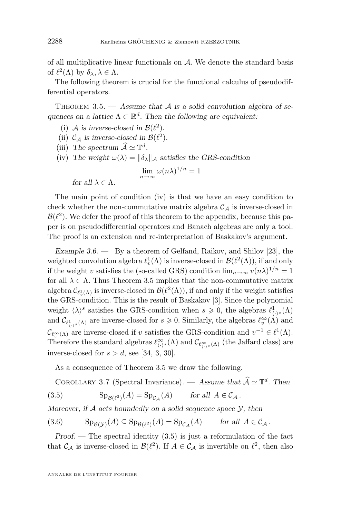<span id="page-10-0"></span>of all multiplicative linear functionals on  $A$ . We denote the standard basis of  $\ell^2(\Lambda)$  by  $\delta_{\lambda}, \lambda \in \Lambda$ .

The following theorem is crucial for the functional calculus of pseudodifferential operators.

THEOREM 3.5.  $-$  *Assume that A is a solid convolution algebra of se*quences on a lattice  $\Lambda \subset \mathbb{R}^d$ . Then the following are equivalent:

- (i) A is inverse-closed in  $\mathcal{B}(\ell^2)$ .
- (ii)  $C_A$  *is inverse-closed in*  $\mathcal{B}(\ell^2)$ *.*
- (iii) The spectrum  $\widehat{\mathcal{A}} \simeq \mathbb{T}^d$ .
- (iv) The weight  $\omega(\lambda) = ||\delta_{\lambda}||_{\mathcal{A}}$  satisfies the GRS-condition

$$
\lim_{n \to \infty} \omega(n\lambda)^{1/n} = 1
$$

*for all*  $\lambda \in \Lambda$ *.* 

The main point of condition (iv) is that we have an easy condition to check whether the non-commutative matrix algebra  $C_A$  is inverse-closed in  $\mathcal{B}(\ell^2)$ . We defer the proof of this theorem to the appendix, because this paper is on pseudodifferential operators and Banach algebras are only a tool. The proof is an extension and re-interpretation of Baskakov's argument.

*Example 3.6. —* By a theorem of Gelfand, Raikov, and Shilov [\[23\]](#page-35-0), the weighted convolution algebra  $\ell_v^1(\Lambda)$  is inverse-closed in  $\mathcal{B}(\ell^2(\Lambda))$ , if and only if the weight v satisfies the (so-called GRS) condition  $\lim_{n\to\infty} v(n\lambda)^{1/n} = 1$ for all  $\lambda \in \Lambda$ . Thus Theorem 3.5 implies that the non-commutative matrix algebra  $\mathcal{C}_{\ell^1_v(\Lambda)}$  is inverse-closed in  $\mathcal{B}(\ell^2(\Lambda))$ , if and only if the weight satisfies the GRS-condition. This is the result of Baskakov [\[3\]](#page-34-0). Since the polynomial weight  $\langle \lambda \rangle^s$  satisfies the GRS-condition when  $s \geq 0$ , the algebras  $\ell^1_{\langle \cdot \rangle^s}(\Lambda)$ and  $\mathcal{C}_{\ell^1_{\langle \cdot \rangle^s}(\Lambda)}$  are inverse-closed for  $s \geq 0$ . Similarly, the algebras  $\ell_v^{\infty}(\Lambda)$  and  $\mathcal{C}_{\ell_{\infty}^{\infty}(\Lambda)}$  are inverse-closed if v satisfies the GRS-condition and  $v^{-1} \in \ell^{1}(\Lambda)$ . Therefore the standard algebras  $\ell^{\infty}_{\langle \cdot \rangle^s}(\Lambda)$  and  $\mathcal{C}_{\ell^{\infty}_{\langle \cdot \rangle^s}(\Lambda)}$  (the Jaffard class) are inverse-closed for  $s > d$ , see [\[34,](#page-35-0) [3,](#page-34-0) [30\]](#page-35-0).

As a consequence of Theorem 3.5 we draw the following.

COROLLARY 3.7 (Spectral Invariance). — Assume that  $\widehat{\mathcal{A}} \simeq \mathbb{T}^d$ . Then

(3.5) 
$$
Sp_{\mathcal{B}(\ell^2)}(A) = Sp_{\mathcal{C}_{\mathcal{A}}}(A) \quad \text{for all } A \in \mathcal{C}_{\mathcal{A}}.
$$

*Moreover, if* A *acts boundedly on a solid sequence space* Y*, then*

(3.6) 
$$
\mathrm{Sp}_{\mathcal{B}(\mathcal{Y})}(A) \subseteq \mathrm{Sp}_{\mathcal{B}(\ell^2)}(A) = \mathrm{Sp}_{\mathcal{C}_\mathcal{A}}(A) \quad \text{for all } A \in \mathcal{C}_\mathcal{A}.
$$

*Proof.* — The spectral identity (3.5) is just a reformulation of the fact that  $\mathcal{C}_{\mathcal{A}}$  is inverse-closed in  $\mathcal{B}(\ell^2)$ . If  $A \in \mathcal{C}_{\mathcal{A}}$  is invertible on  $\ell^2$ , then also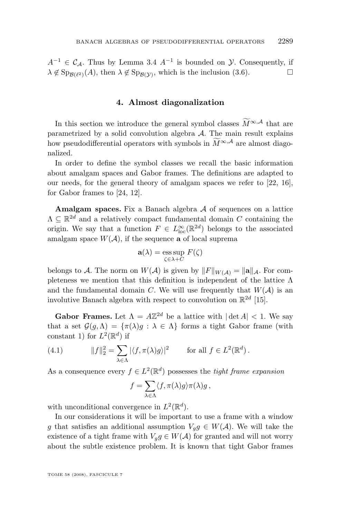$A^{-1} \in \mathcal{C}_{\mathcal{A}}$ . Thus by Lemma [3.4](#page-8-0)  $A^{-1}$  is bounded on  $\mathcal{Y}$ . Consequently, if  $\lambda \notin \mathrm{Sp}_{\mathcal{B}(\ell^2)}(A)$ , then  $\lambda \notin \mathrm{Sp}_{\mathcal{B}(\mathcal{Y})}$ , which is the inclusion [\(3.6\)](#page-10-0).

### **4. Almost diagonalization**

In this section we introduce the general symbol classes  $\widetilde{M}^{\infty,A}$  that are parametrized by a solid convolution algebra  $A$ . The main result explains how pseudodifferential operators with symbols in  $\widetilde{M}^{\infty,A}$  are almost diagonalized.

In order to define the symbol classes we recall the basic information about amalgam spaces and Gabor frames. The definitions are adapted to our needs, for the general theory of amalgam spaces we refer to [\[22,](#page-35-0) [16\]](#page-34-0), for Gabor frames to [\[24,](#page-35-0) [12\]](#page-34-0).

**Amalgam spaces.** Fix a Banach algebra A of sequences on a lattice  $\Lambda \subseteq \mathbb{R}^{2d}$  and a relatively compact fundamental domain C containing the origin. We say that a function  $F \in L^{\infty}_{loc}(\mathbb{R}^{2d})$  belongs to the associated amalgam space  $W(\mathcal{A})$ , if the sequence **a** of local suprema

$$
\mathbf{a}(\lambda) = \operatorname*{ess\,sup}_{\zeta \in \lambda + C} F(\zeta)
$$

belongs to A. The norm on  $W(A)$  is given by  $||F||_{W(A)} = ||\mathbf{a}||_{A}$ . For completeness we mention that this definition is independent of the lattice Λ and the fundamental domain C. We will use frequently that  $W(\mathcal{A})$  is an involutive Banach algebra with respect to convolution on  $\mathbb{R}^{2d}$  [\[15\]](#page-34-0).

**Gabor Frames.** Let  $\Lambda = A\mathbb{Z}^{2d}$  be a lattice with  $|\det A| < 1$ . We say that a set  $\mathcal{G}(g,\Lambda) = {\pi(\lambda)g : \lambda \in \Lambda}$  forms a tight Gabor frame (with constant 1) for  $L^2(\mathbb{R}^d)$  if

(4.1) 
$$
||f||_2^2 = \sum_{\lambda \in \Lambda} |\langle f, \pi(\lambda)g \rangle|^2 \quad \text{for all } f \in L^2(\mathbb{R}^d).
$$

As a consequence every  $f \in L^2(\mathbb{R}^d)$  possesses the *tight frame expansion* 

$$
f = \sum_{\lambda \in \Lambda} \langle f, \pi(\lambda)g \rangle \pi(\lambda)g,
$$

with unconditional convergence in  $L^2(\mathbb{R}^d)$ .

In our considerations it will be important to use a frame with a window g that satisfies an additional assumption  $V_g g \in W(\mathcal{A})$ . We will take the existence of a tight frame with  $V_g g \in W(\mathcal{A})$  for granted and will not worry about the subtle existence problem. It is known that tight Gabor frames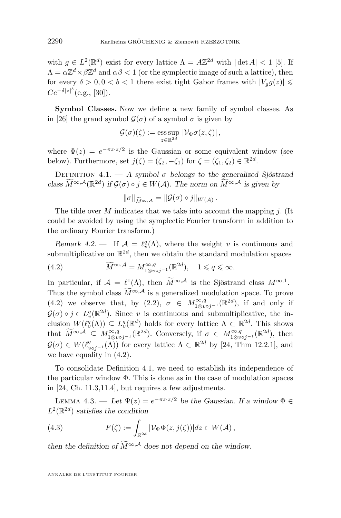<span id="page-12-0"></span>with  $g \in L^2(\mathbb{R}^d)$  exist for every lattice  $\Lambda = A\mathbb{Z}^{2d}$  with  $|\det A| < 1$  [\[5\]](#page-34-0). If  $\Lambda = \alpha \mathbb{Z}^d \times \beta \mathbb{Z}^d$  and  $\alpha \beta < 1$  (or the symplectic image of such a lattice), then for every  $\delta > 0, 0 < b < 1$  there exist tight Gabor frames with  $|V_g(q(z))| \leq$  $Ce^{-\delta |z|^b}$  (e.g., [\[30\]](#page-35-0)).

**Symbol Classes.** Now we define a new family of symbol classes. As in [\[26\]](#page-35-0) the grand symbol  $\mathcal{G}(\sigma)$  of a symbol  $\sigma$  is given by

$$
\mathcal{G}(\sigma)(\zeta) := \underset{z \in \mathbb{R}^{2d}}{\mathrm{ess \, sup}} \, |\mathcal{V}_{\Phi} \sigma(z, \zeta)| \, ,
$$

where  $\Phi(z) = e^{-\pi z \cdot z/2}$  is the Gaussian or some equivalent window (see below). Furthermore, set  $j(\zeta) = (\zeta_2, -\zeta_1)$  for  $\zeta = (\zeta_1, \zeta_2) \in \mathbb{R}^{2d}$ .

DEFINITION  $4.1. - A$  symbol  $\sigma$  belongs to the generalized Sjöstrand *class*  $\widetilde{M}^{\infty,A}(\mathbb{R}^{2d})$  *if*  $\mathcal{G}(\sigma) \circ j \in W(\mathcal{A})$ *. The norm on*  $\widetilde{M}^{\infty,A}$  *is given by* 

$$
\|\sigma\|_{\widetilde{M}^{\infty,A}}=\|\mathcal{G}(\sigma)\circ j\|_{W(\mathcal{A})}.
$$

 $\|\sigma\|_{\widetilde{M}^{\infty,A}} = \|\mathcal{G}(\sigma) \circ j\|_{W(A)}.$ <br>The tilde over M indicates that we take into account the mapping j. (It could be avoided by using the symplectic Fourier transform in addition to the ordinary Fourier transform.)

*Remark 4.2.* — If  $\mathcal{A} = \ell_v^q(\Lambda)$ , where the weight v is continuous and submultiplicative on  $\mathbb{R}^{2d}$ , then we obtain the standard modulation spaces

(4.2) 
$$
\widetilde{M}^{\infty,\mathcal{A}} = M^{\infty,q}_{1 \otimes v \circ j^{-1}}(\mathbb{R}^{2d}), \quad 1 \leq q \leq \infty.
$$

In particular, if  $\mathcal{A} = \ell^1(\Lambda)$ , then  $M^{\infty,\mathcal{A}}$  is the Sjöstrand class  $M^{\infty,1}$ . Thus the symbol class  $\widetilde{M}^{\infty,A}$  is a generalized modulation space. To prove (4.2) we observe that, by  $(2.2)$ ,  $\sigma \in M^{\infty,q}_{1\otimes\upsilon j^{-1}}(\mathbb{R}^{2d})$ , if and only if  $\mathcal{G}(\sigma) \circ j \in L^q_v(\mathbb{R}^{2d})$ . Since v is continuous and submultiplicative, the inclusion  $W(\ell^q_v(\Lambda)) \subseteq L^q_v(\mathbb{R}^d)$  holds for every lattice  $\Lambda \subset \mathbb{R}^{2d}$ . This shows that  $\widetilde{M}^{\infty,A} \subseteq M^{\infty,q}_{1\otimes v \circ j^{-1}}(\mathbb{R}^{2d})$ . Conversely, if  $\sigma \in M^{\infty,q}_{1\otimes v \circ j^{-1}}(\mathbb{R}^{2d})$ , then  $\mathcal{G}(\sigma) \in W(\ell^q_{\nu \circ j^{-1}}(\Lambda))$  for every lattice  $\Lambda \subset \mathbb{R}^{2d}$  by [\[24,](#page-35-0) Thm 12.2.1], and we have equality in (4.2).

To consolidate Definition 4.1, we need to establish its independence of the particular window  $\Phi$ . This is done as in the case of modulation spaces in [\[24,](#page-35-0) Ch. 11.3,11.4], but requires a few adjustments.

LEMMA 4.3. — Let  $\Psi(z) = e^{-\pi z \cdot z/2}$  be the Gaussian. If a window  $\Phi \in$  $L^2(\mathbb{R}^{2d})$  *satisfies the condition* 

(4.3) 
$$
F(\zeta) := \int_{\mathbb{R}^{2d}} |\mathcal{V}_{\Psi}\Phi(z,j(\zeta))| dz \in W(\mathcal{A}),
$$

*then the definition of*  $\widetilde{M}^{\infty,A}$  *does not depend on the window.*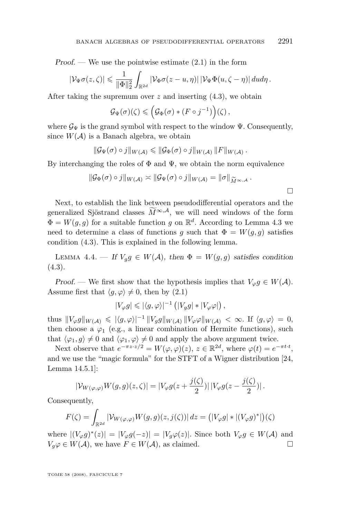<span id="page-13-0"></span>*Proof. —* We use the pointwise estimate [\(2.1\)](#page-5-0) in the form

$$
|\mathcal{V}_{\Psi}\sigma(z,\zeta)| \leq \frac{1}{\|\Phi\|_2^2} \int_{\mathbb{R}^{2d}} |\mathcal{V}_{\Phi}\sigma(z-u,\eta)| \, |\mathcal{V}_{\Psi}\Phi(u,\zeta-\eta)| \, du d\eta \, .
$$

After taking the supremum over  $z$  and inserting  $(4.3)$ , we obtain

$$
\mathcal{G}_{\Psi}(\sigma)(\zeta) \leqslant \left(\mathcal{G}_{\Phi}(\sigma) * (F \circ j^{-1})\right)(\zeta),
$$

where  $\mathcal{G}_{\Psi}$  is the grand symbol with respect to the window  $\Psi$ . Consequently, since  $W(\mathcal{A})$  is a Banach algebra, we obtain

$$
\|\mathcal{G}_{\Psi}(\sigma)\circ j\|_{W(\mathcal{A})}\leqslant \|\mathcal{G}_{\Phi}(\sigma)\circ j\|_{W(\mathcal{A})}\,\|F\|_{W(\mathcal{A})}\,.
$$

By interchanging the roles of  $\Phi$  and  $\Psi$ , we obtain the norm equivalence

$$
\|\mathcal{G}_{\Phi}(\sigma)\circ j\|_{W(\mathcal{A})}\asymp \|\mathcal{G}_{\Psi}(\sigma)\circ j\|_{W(\mathcal{A})}=\|\sigma\|_{\widetilde{M}^{\infty,\mathcal{A}}}.
$$

 $\Box$ 

Next, to establish the link between pseudodifferential operators and the generalized Sjöstrand classes  $\widetilde{M}^{\infty,\mathcal{A}}$ , we will need windows of the form  $\Phi = W(g, g)$  for a suitable function g on  $\mathbb{R}^d$ . According to Lemma [4.3](#page-12-0) we need to determine a class of functions q such that  $\Phi = W(q, q)$  satisfies condition [\(4.3\)](#page-12-0). This is explained in the following lemma.

LEMMA 4.4. — *If*  $V_g g \in W(\mathcal{A})$ *, then*  $\Phi = W(g, g)$  *satisfies condition* [\(4.3\)](#page-12-0)*.*

*Proof.* — We first show that the hypothesis implies that  $V_{\varphi}g \in W(\mathcal{A})$ . Assume first that  $\langle g, \varphi \rangle \neq 0$ , then by  $(2.1)$ 

$$
|V_{\varphi}g| \leqslant |\langle g,\varphi\rangle|^{-1} \left( |V_g g| * |V_{\varphi}\varphi|\right),
$$

thus  $||V_{\varphi}g||_{W(\mathcal{A})} \leqslant |\langle g, \varphi \rangle|^{-1} ||V_g g||_{W(\mathcal{A})} ||V_{\varphi} \varphi||_{W(\mathcal{A})} < \infty$ . If  $\langle g, \varphi \rangle = 0$ , then choose a  $\varphi_1$  (e.g., a linear combination of Hermite functions), such that  $\langle \varphi_1, g \rangle \neq 0$  and  $\langle \varphi_1, \varphi \rangle \neq 0$  and apply the above argument twice.

Next observe that  $e^{-\pi z \cdot z/2} = W(\varphi, \varphi)(z), z \in \mathbb{R}^{2d}$ , where  $\varphi(t) = e^{-\pi t \cdot t}$ , and we use the "magic formula" for the STFT of a Wigner distribution [\[24,](#page-35-0) Lemma 14.5.1]:

$$
|\mathcal{V}_{W(\varphi,\varphi)}W(g,g)(z,\zeta)| = |V_{\varphi}g(z+\frac{j(\zeta)}{2})| \, |V_{\varphi}g(z-\frac{j(\zeta)}{2})| \, .
$$

Consequently,

$$
F(\zeta) = \int_{\mathbb{R}^{2d}} |\mathcal{V}_{W(\varphi,\varphi)}W(g,g)(z,j(\zeta))| dz = (|V_{\varphi}g| * |(V_{\varphi}g)^*|)(\zeta)
$$

where  $|(V_{\varphi}g)^*(z)| = |V_{\varphi}g(-z)| = |V_g\varphi(z)|$ . Since both  $V_{\varphi}g \in W(\mathcal{A})$  and  $V_q\varphi \in W(\mathcal{A}),$  we have  $F \in W(\mathcal{A}),$  as claimed.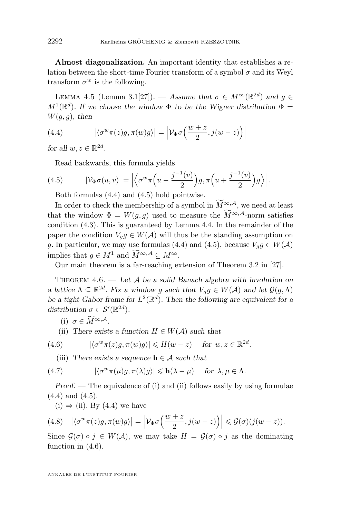<span id="page-14-0"></span>**Almost diagonalization.** An important identity that establishes a relation between the short-time Fourier transform of a symbol  $\sigma$  and its Weyl transform  $\sigma^w$  is the following.

LEMMA 4.5 (Lemma 3.1[\[27\]](#page-35-0)). — Assume that  $\sigma \in M^{\infty}(\mathbb{R}^{2d})$  and  $g \in$  $M^1(\mathbb{R}^d)$ . If we choose the window  $\Phi$  to be the Wigner distribution  $\Phi =$  $W(g, g)$ , then

(4.4) 
$$
\left| \langle \sigma^w \pi(z) g, \pi(w) g \rangle \right| = \left| \mathcal{V}_{\Phi} \sigma \left( \frac{w+z}{2}, j(w-z) \right) \right|
$$

*for all*  $w, z \in \mathbb{R}^{2d}$ *.* 

Read backwards, this formula yields

(4.5) 
$$
|\mathcal{V}_{\Phi}\sigma(u,v)| = \left| \left\langle \sigma^w \pi\left(u - \frac{j^{-1}(v)}{2}\right)g, \pi\left(u + \frac{j^{-1}(v)}{2}\right)g \right\rangle \right|.
$$

Both formulas (4.4) and (4.5) hold pointwise.

In order to check the membership of a symbol in  $\widetilde{M}^{\infty,\mathcal{A}}$ , we need at least that the window  $\Phi = W(q, q)$  used to measure the  $\widetilde{M}^{\infty, \mathcal{A}}$ -norm satisfies condition [\(4.3\)](#page-12-0). This is guaranteed by Lemma [4.4.](#page-13-0) In the remainder of the paper the condition  $V_g g \in W(\mathcal{A})$  will thus be the standing assumption on g. In particular, we may use formulas (4.4) and (4.5), because  $V_g g \in W(\mathcal{A})$ implies that  $q \in M^1$  and  $\widetilde{M}^{\infty, \mathcal{A}} \subset M^{\infty}$ .

Our main theorem is a far-reaching extension of Theorem 3.2 in [\[27\]](#page-35-0).

Theorem 4.6. — *Let* A *be a solid Banach algebra with involution on a lattice*  $\Lambda \subseteq \mathbb{R}^{2d}$ . Fix a window g such that  $V_g g \in W(\mathcal{A})$  and let  $\mathcal{G}(g, \Lambda)$ be a tight Gabor frame for  $L^2(\mathbb{R}^d)$ . Then the following are equivalent for a distribution  $\sigma \in \mathcal{S}'(\mathbb{R}^{2d})$ .

- (i)  $\sigma \in \widetilde{M}^{\infty, \mathcal{A}}$ .
- (ii) *There exists a function*  $H \in W(\mathcal{A})$  *such that*

(4.6) 
$$
|\langle \sigma^w \pi(z)g, \pi(w)g \rangle| \le H(w-z) \quad \text{for } w, z \in \mathbb{R}^{2d}.
$$

(iii) *There exists a sequence*  $h \in \mathcal{A}$  *such that* 

(4.7) 
$$
|\langle \sigma^w \pi(\mu)g, \pi(\lambda)g \rangle| \leq \mathbf{h}(\lambda - \mu) \quad \text{for } \lambda, \mu \in \Lambda.
$$

*Proof.* — The equivalence of (i) and (ii) follows easily by using formulae (4.4) and (4.5).

 $(i) \Rightarrow (ii)$ . By  $(4.4)$  we have

(4.8) 
$$
\left| \langle \sigma^w \pi(z) g, \pi(w) g \rangle \right| = \left| \mathcal{V}_{\Phi} \sigma \left( \frac{w+z}{2}, j(w-z) \right) \right| \leqslant \mathcal{G}(\sigma) (j(w-z)).
$$

Since  $\mathcal{G}(\sigma) \circ j \in W(\mathcal{A})$ , we may take  $H = \mathcal{G}(\sigma) \circ j$  as the dominating function in  $(4.6)$ .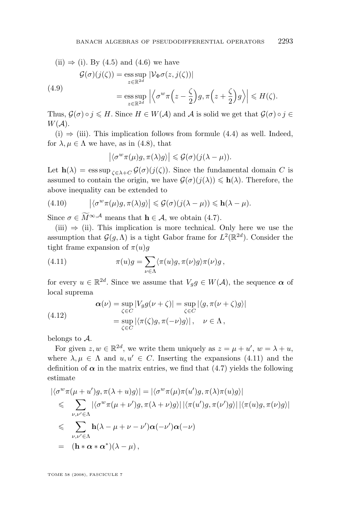<span id="page-15-0"></span>(ii) 
$$
\Rightarrow
$$
 (i). By (4.5) and (4.6) we have  
\n
$$
\mathcal{G}(\sigma)(j(\zeta)) = \underset{z \in \mathbb{R}^{2d}}{\text{ess sup}} |\mathcal{V}_{\Phi}\sigma(z, j(\zeta))|
$$
\n(4.9)  
\n
$$
= \underset{z \in \mathbb{R}^{2d}}{\text{ess sup}} |\langle \sigma^w \pi(z - \frac{\zeta}{2})g, \pi(z + \frac{\zeta}{2})g \rangle| \le H(\zeta).
$$

Thus,  $\mathcal{G}(\sigma) \circ j \leq H$ . Since  $H \in W(\mathcal{A})$  and  $\mathcal{A}$  is solid we get that  $\mathcal{G}(\sigma) \circ j \in$  $W(A)$ .

 $(i) \Rightarrow (iii)$ . This implication follows from formule [\(4.4\)](#page-14-0) as well. Indeed, for  $\lambda, \mu \in \Lambda$  we have, as in [\(4.8\)](#page-14-0), that

$$
\left|\langle \sigma^w \pi(\mu)g, \pi(\lambda)g \rangle\right| \leqslant \mathcal{G}(\sigma)(j(\lambda - \mu)).
$$

Let  $h(\lambda) = \operatorname{ess} \operatorname{sup}_{\zeta \in \lambda + C} \mathcal{G}(\sigma)(j(\zeta))$ . Since the fundamental domain C is assumed to contain the origin, we have  $\mathcal{G}(\sigma)(j(\lambda)) \leq h(\lambda)$ . Therefore, the above inequality can be extended to

(4.10) 
$$
\left| \langle \sigma^w \pi(\mu) g, \pi(\lambda) g \rangle \right| \leq \mathcal{G}(\sigma) (j(\lambda - \mu)) \leq \mathbf{h}(\lambda - \mu).
$$

Since  $\sigma \in \widetilde{M}^{\infty, \mathcal{A}}$  means that  $\mathbf{h} \in \mathcal{A}$ , we obtain [\(4.7\)](#page-14-0).

 $(iii) \Rightarrow (ii)$ . This implication is more technical. Only here we use the assumption that  $\mathcal{G}(g,\Lambda)$  is a tight Gabor frame for  $L^2(\mathbb{R}^{2d})$ . Consider the tight frame expansion of  $\pi(u)g$ 

(4.11) 
$$
\pi(u)g = \sum_{\nu \in \Lambda} \langle \pi(u)g, \pi(\nu)g \rangle \pi(\nu)g,
$$

for every  $u \in \mathbb{R}^{2d}$ . Since we assume that  $V_g g \in W(\mathcal{A})$ , the sequence  $\alpha$  of local suprema

(4.12) 
$$
\alpha(\nu) = \sup_{\zeta \in C} |V_g g(\nu + \zeta)| = \sup_{\zeta \in C} |\langle g, \pi(\nu + \zeta)g \rangle|
$$

$$
= \sup_{\zeta \in C} |\langle \pi(\zeta)g, \pi(-\nu)g \rangle|, \quad \nu \in \Lambda,
$$

belongs to A.

For given  $z, w \in \mathbb{R}^{2d}$ , we write them uniquely as  $z = \mu + u'$ ,  $w = \lambda + u$ , where  $\lambda, \mu \in \Lambda$  and  $u, u' \in C$ . Inserting the expansions (4.11) and the definition of  $\alpha$  in the matrix entries, we find that [\(4.7\)](#page-14-0) yields the following estimate

$$
\begin{split}\n&\langle \sigma^w \pi(\mu + u')g, \pi(\lambda + u)g \rangle| = |\langle \sigma^w \pi(\mu) \pi(u')g, \pi(\lambda) \pi(u)g \rangle| \\
&\leq \sum_{\nu, \nu' \in \Lambda} |\langle \sigma^w \pi(\mu + \nu')g, \pi(\lambda + \nu)g \rangle| |\langle \pi(u')g, \pi(\nu')g \rangle| |\langle \pi(u)g, \pi(\nu)g \rangle| \\
&\leq \sum_{\nu, \nu' \in \Lambda} \mathbf{h}(\lambda - \mu + \nu - \nu')\alpha(-\nu')\alpha(-\nu) \\
&= (\mathbf{h} * \alpha * \alpha^*)(\lambda - \mu),\n\end{split}
$$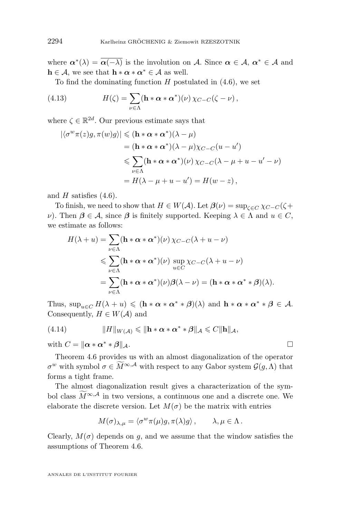<span id="page-16-0"></span>where  $\alpha^*(\lambda) = \alpha(-\lambda)$  is the involution on A. Since  $\alpha \in A$ ,  $\alpha^* \in A$  and  $h \in \mathcal{A}$ , we see that  $h * \alpha * \alpha^* \in \mathcal{A}$  as well.

To find the dominating function  $H$  postulated in  $(4.6)$ , we set

(4.13) 
$$
H(\zeta) = \sum_{\nu \in \Lambda} (\mathbf{h} * \boldsymbol{\alpha} * \boldsymbol{\alpha}^*) (\nu) \, \chi_{C-C}(\zeta - \nu),
$$

where  $\zeta \in \mathbb{R}^{2d}$ . Our previous estimate says that

$$
\begin{aligned} |\langle \sigma^w \pi(z)g, \pi(w)g \rangle| &\leq (\mathbf{h} * \boldsymbol{\alpha} * \boldsymbol{\alpha}^*)(\lambda - \mu) \\ &= (\mathbf{h} * \boldsymbol{\alpha} * \boldsymbol{\alpha}^*)(\lambda - \mu)\chi_{C-C}(u - u') \\ &\leq \sum_{\nu \in \Lambda} (\mathbf{h} * \boldsymbol{\alpha} * \boldsymbol{\alpha}^*)(\nu)\chi_{C-C}(\lambda - \mu + u - u' - \nu) \\ &= H(\lambda - \mu + u - u') = H(w - z), \end{aligned}
$$

and  $H$  satisfies  $(4.6)$ .

To finish, we need to show that  $H \in W(\mathcal{A})$ . Let  $\mathcal{B}(\nu) = \sup_{\zeta \in C} \chi_{C-C}(\zeta +$  $ν$ ). Then  $β ∈ A$ , since β is finitely supported. Keeping  $λ ∈ Λ$  and  $u ∈ C$ , we estimate as follows:

$$
H(\lambda + u) = \sum_{\nu \in \Lambda} (\mathbf{h} * \alpha * \alpha^*)(\nu) \chi_{C-C}(\lambda + u - \nu)
$$
  
\$\leqslant \sum\_{\nu \in \Lambda} (\mathbf{h} \* \alpha \* \alpha^\*)(\nu) \sup\_{u \in C} \chi\_{C-C}(\lambda + u - \nu)\$  
= \$\sum\_{\nu \in \Lambda} (\mathbf{h} \* \alpha \* \alpha^\*)(\nu) \beta(\lambda - \nu) = (\mathbf{h} \* \alpha \* \alpha^\* \* \beta)(\lambda).

Thus,  $\sup_{u \in C} H(\lambda + u) \leq (h * \alpha * \alpha^* * \beta)(\lambda)$  and  $h * \alpha * \alpha^* * \beta \in \mathcal{A}$ . Consequently,  $H \in W(\mathcal{A})$  and

(4.14) 
$$
||H||_{W(\mathcal{A})} \le ||\mathbf{h} \cdot \boldsymbol{\alpha} \cdot \boldsymbol{\alpha}^* \cdot \boldsymbol{\beta}||_{\mathcal{A}} \le C ||\mathbf{h}||_{\mathcal{A}},
$$

with  $C = ||\boldsymbol{\alpha} * \boldsymbol{\alpha}^* * \boldsymbol{\beta}||_A$ .

Theorem [4.6](#page-14-0) provides us with an almost diagonalization of the operator  $\sigma^w$  with symbol  $\sigma \in \widetilde{M}^{\infty, \mathcal{A}}$  with respect to any Gabor system  $\mathcal{G}(g, \Lambda)$  that forms a tight frame.

The almost diagonalization result gives a characterization of the symbol class  $M^{\infty,A}$  in two versions, a continuous one and a discrete one. We elaborate the discrete version. Let  $M(\sigma)$  be the matrix with entries

$$
M(\sigma)_{\lambda,\mu} = \langle \sigma^w \pi(\mu) g, \pi(\lambda) g \rangle, \qquad \lambda, \mu \in \Lambda.
$$

Clearly,  $M(\sigma)$  depends on g, and we assume that the window satisfies the assumptions of Theorem [4.6.](#page-14-0)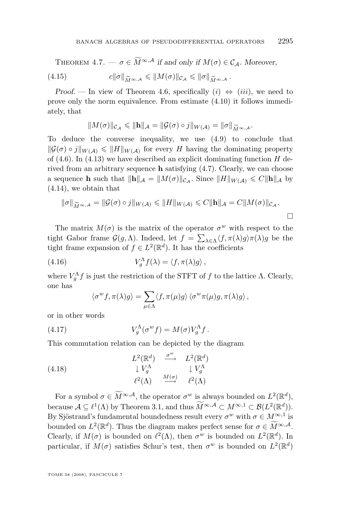<span id="page-17-0"></span>THEOREM 4.7. 
$$
-\sigma \in \widetilde{M}^{\infty,A}
$$
 if and only if  $M(\sigma) \in C_{\mathcal{A}}$ . Moreover,  
(4.15)  $c\|\sigma\|_{\widetilde{M}^{\infty,A}} \leq \|M(\sigma)\|_{C_{\mathcal{A}}} \leq \|\sigma\|_{\widetilde{M}^{\infty,A}}$ .

*Proof.* — In view of Theorem [4.6,](#page-14-0) specifically  $(i) \Leftrightarrow (iii)$ , we need to prove only the norm equivalence. From estimate [\(4.10\)](#page-15-0) it follows immediately, that

$$
||M(\sigma)||_{\mathcal{C}_{\mathcal{A}}} \leq ||\mathbf{h}||_{\mathcal{A}} = ||\mathcal{G}(\sigma) \circ j||_{W(\mathcal{A})} = ||\sigma||_{\widetilde{M}^{\infty,\mathcal{A}}}.
$$

 $||M(\sigma)||_{\mathcal{C}_{\mathcal{A}}} \le ||\mathbf{h}||_{\mathcal{A}} = ||\mathcal{G}(\sigma) \circ j||_{W(\mathcal{A})} = ||\sigma||_{\widetilde{M}^{\infty,\mathcal{A}}}$ .<br>To deduce the converse inequality, we use [\(4.9\)](#page-15-0) to conclude that  $\|\mathcal{G}(\sigma) \circ j\|_{W(\mathcal{A})} \leq \|H\|_{W(\mathcal{A})}$  for every H having the dominating property of  $(4.6)$ . In  $(4.13)$  we have described an explicit dominating function H derived from an arbitrary sequence **h** satisfying  $(4.7)$ . Clearly, we can choose a sequence **h** such that  $\|\mathbf{h}\|_{\mathcal{A}} = \|M(\sigma)\|_{\mathcal{C}_{\mathcal{A}}}$ . Since  $\|H\|_{W(\mathcal{A})} \leq C\|\mathbf{h}\|_{\mathcal{A}}$  by [\(4.14\)](#page-16-0), we obtain that

$$
\|\sigma\|_{\widetilde{M}^{\infty,A}} = \|\mathcal{G}(\sigma) \circ j\|_{W(\mathcal{A})} \leq \|H\|_{W(\mathcal{A})} \leq C \|\mathbf{h}\|_{\mathcal{A}} = C \|M(\sigma)\|_{\mathcal{C}_{\mathcal{A}}}.
$$

The matrix  $M(\sigma)$  is the matrix of the operator  $\sigma^w$  with respect to the tight Gabor frame  $\mathcal{G}(g,\Lambda)$ . Indeed, let  $f = \sum_{\lambda \in \Lambda} \langle f, \pi(\lambda)g \rangle \pi(\lambda)g$  be the tight frame expansion of  $f \in L^2(\mathbb{R}^d)$ . It has the coefficients

(4.16) 
$$
V_g^{\Lambda} f(\lambda) = \langle f, \pi(\lambda)g \rangle,
$$

where  $V_g^{\Lambda} f$  is just the restriction of the STFT of f to the lattice  $\Lambda$ . Clearly, one has

$$
\langle \sigma^w f, \pi(\lambda) g \rangle = \sum_{\mu \in \Lambda} \langle f, \pi(\mu) g \rangle \langle \sigma^w \pi(\mu) g, \pi(\lambda) g \rangle,
$$

or in other words

(4.17) 
$$
V_g^{\Lambda}(\sigma^w f) = M(\sigma) V_g^{\Lambda} f.
$$

This commutation relation can be depicted by the diagram

(4.18) 
$$
L^{2}(\mathbb{R}^{d}) \xrightarrow{\sigma^{w}} L^{2}(\mathbb{R}^{d})
$$

$$
\downarrow V_{g}^{\Lambda} \qquad \downarrow V_{g}^{\Lambda}
$$

$$
\ell^{2}(\Lambda) \xrightarrow{M(\sigma)} \ell^{2}(\Lambda)
$$

For a symbol  $\sigma \in \widetilde{M}^{\infty, \mathcal{A}}$ , the operator  $\sigma^w$  is always bounded on  $L^2(\mathbb{R}^d)$ , because  $\mathcal{A} \subseteq \ell^1(\Lambda)$  by Theorem [3.1,](#page-7-0) and thus  $\widetilde{M}^{\infty,\mathcal{A}} \subset M^{\infty,1} \subset \mathcal{B}(L^2(\mathbb{R}^d)).$ By Sjöstrand's fundamental boundedness result every  $\sigma^w$  with  $\sigma \in M^{\infty,1}$  is bounded on  $L^2(\mathbb{R}^d)$ . Thus the diagram makes perfect sense for  $\sigma \in \widetilde{M}^{\infty, \mathcal{A}}$ . Clearly, if  $M(\sigma)$  is bounded on  $\ell^2(\Lambda)$ , then  $\sigma^w$  is bounded on  $L^2(\mathbb{R}^d)$ . In particular, if  $M(\sigma)$  satisfies Schur's test, then  $\sigma^w$  is bounded on  $L^2(\mathbb{R}^d)$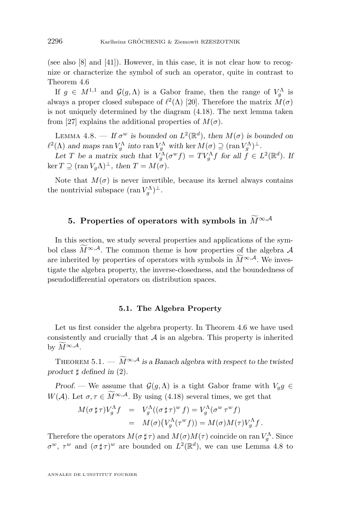<span id="page-18-0"></span>(see also [\[8\]](#page-34-0) and [\[41\]](#page-36-0)). However, in this case, it is not clear how to recognize or characterize the symbol of such an operator, quite in contrast to Theorem [4.6](#page-14-0)

If  $g \in M^{1,1}$  and  $\mathcal{G}(g,\Lambda)$  is a Gabor frame, then the range of  $V_g^{\Lambda}$  is always a proper closed subspace of  $\ell^2(\Lambda)$  [\[20\]](#page-35-0). Therefore the matrix  $M(\sigma)$ is not uniquely determined by the diagram [\(4.18\)](#page-17-0). The next lemma taken from [\[27\]](#page-35-0) explains the additional properties of  $M(\sigma)$ .

LEMMA 4.8. — If  $\sigma^w$  is bounded on  $L^2(\mathbb{R}^d)$ , then  $M(\sigma)$  is bounded on  $\ell^2(\Lambda)$  and maps ran  $V_g^{\Lambda}$  into ran  $V_g^{\Lambda}$  with ker  $M(\sigma) \supseteq (\text{ran } V_g^{\Lambda})^{\perp}$ .

Let T be a matrix such that  $V_g^{\Lambda}(\sigma^w f) = TV_g^{\Lambda} f$  for all  $\tilde{f} \in L^2(\mathbb{R}^d)$ . If  $\ker T \supseteq (\operatorname{ran} V_a \Lambda)^\perp$ , then  $T = M(\sigma)$ .

Note that  $M(\sigma)$  is never invertible, because its kernel always contains the nontrivial subspace  $(\operatorname{ran} V_g^{\Lambda})^{\perp}$ .

# **5. Properties of operators with symbols in**  $\widetilde{M}^{\infty,A}$

In this section, we study several properties and applications of the symbol class  $M^{\infty,A}$ . The common theme is how properties of the algebra A are inherited by properties of operators with symbols in  $M^{\infty,\mathcal{A}}$ . We investigate the algebra property, the inverse-closedness, and the boundedness of pseudodifferential operators on distribution spaces.

### **5.1. The Algebra Property**

Let us first consider the algebra property. In Theorem [4.6](#page-14-0) we have used consistently and crucially that  $A$  is an algebra. This property is inherited by  $\widetilde{M}^{\infty,\mathcal{A}}$ .

THEOREM 5.1. —  $\widetilde{M}^{\infty,A}$  is a Banach algebra with respect to the twisted *product* ] *defined in* [\(2\)](#page-6-0)*.*

*Proof.* — We assume that  $\mathcal{G}(g,\Lambda)$  is a tight Gabor frame with  $V_g g \in$  $W(\mathcal{A})$ . Let  $\sigma, \tau \in \widetilde{M}^{\infty, \mathcal{A}}$ . By using [\(4.18\)](#page-17-0) several times, we get that

$$
M(\sigma \sharp \tau)V_g^{\Lambda}f = V_g^{\Lambda}((\sigma \sharp \tau)^w f) = V_g^{\Lambda}(\sigma^w \tau^w f)
$$
  
= 
$$
M(\sigma)(V_g^{\Lambda}(\tau^w f)) = M(\sigma)M(\tau)V_g^{\Lambda}f.
$$

Therefore the operators  $M(\sigma \sharp \tau)$  and  $M(\sigma)M(\tau)$  coincide on ran  $V_g^{\Lambda}$ . Since  $\sigma^w$ ,  $\tau^w$  and  $(\sigma \sharp \tau)^w$  are bounded on  $L^2(\mathbb{R}^d)$ , we can use Lemma 4.8 to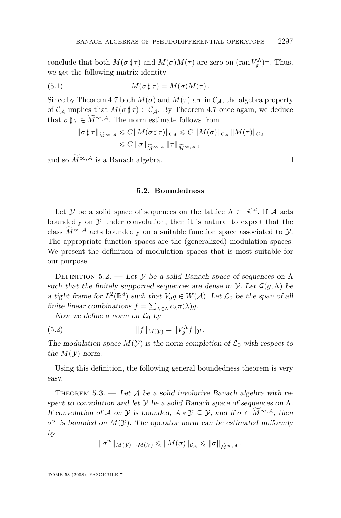<span id="page-19-0"></span>conclude that both  $M(\sigma \sharp \tau)$  and  $M(\sigma)M(\tau)$  are zero on  $(\operatorname{ran} V_g^{\Lambda})^{\perp}$ . Thus, we get the following matrix identity

(5.1) 
$$
M(\sigma \sharp \tau) = M(\sigma)M(\tau).
$$

Since by Theorem [4.7](#page-16-0) both  $M(\sigma)$  and  $M(\tau)$  are in  $C_A$ , the algebra property of  $\mathcal{C}_{\mathcal{A}}$  implies that  $M(\sigma \sharp \tau) \in \mathcal{C}_{\mathcal{A}}$ . By Theorem [4.7](#page-16-0) once again, we deduce that  $\sigma \sharp \tau \in \widetilde{M}^{\infty, \mathcal{A}}$ . The norm estimate follows from

$$
\begin{aligned} \|\sigma\,\sharp\,\tau\|_{\widetilde{M}^{\infty,A}}&\leqslant C\|M(\sigma\,\sharp\,\tau)\|_{\mathcal{C}_{\mathcal{A}}}\leqslant C\,\|M(\sigma)\|_{\mathcal{C}_{\mathcal{A}}}\,\|M(\tau)\|_{\mathcal{C}_{\mathcal{A}}}\\ &\leqslant C\,\|\sigma\|_{\widetilde{M}^{\infty,A}}\,\|\tau\|_{\widetilde{M}^{\infty,A}}\,, \end{aligned}
$$

and so  $\widetilde{M}^{\infty, \mathcal{A}}$  is a Banach algebra.

#### **5.2. Boundedness**

Let Y be a solid space of sequences on the lattice  $\Lambda \subset \mathbb{R}^{2d}$ . If A acts boundedly on  $\mathcal Y$  under convolution, then it is natural to expect that the class  $M^{\infty, A}$  acts boundedly on a suitable function space associated to  $\mathcal{Y}$ . The appropriate function spaces are the (generalized) modulation spaces. We present the definition of modulation spaces that is most suitable for our purpose.

Definition 5.2. — *Let* Y *be a solid Banach space of sequences on* Λ *such that the finitely supported sequences are dense in*  $\mathcal{Y}$ *. Let*  $\mathcal{G}(g,\Lambda)$  *be a* tight frame for  $L^2(\mathbb{R}^d)$  such that  $V_g g \in W(\mathcal{A})$ . Let  $\mathcal{L}_0$  be the span of all *finite linear combinations*  $f = \sum_{\lambda \in \Lambda} c_{\lambda} \pi(\lambda) g$ .

*Now we define a norm on*  $\mathcal{L}_0$  *by* 

(5.2) 
$$
||f||_{M(\mathcal{Y})} = ||V_g^{\Lambda} f||_{\mathcal{Y}}.
$$

The modulation space  $M(Y)$  is the norm completion of  $\mathcal{L}_0$  with respect to *the*  $M(Y)$ -norm.

Using this definition, the following general boundedness theorem is very easy.

THEOREM 5.3. — Let A be a solid involutive Banach algebra with re*spect to convolution and let* Y *be a solid Banach space of sequences on* Λ*. If convolution of A on y is bounded,*  $A * y \subseteq y$ *,* and if  $\sigma \in M^{\infty,A}$ *, then* σ <sup>w</sup> *is bounded on* M(Y)*. The operator norm can be estimated uniformly by*

$$
\|\sigma^w\|_{M(\mathcal{Y})\to M(\mathcal{Y})}\leqslant \|M(\sigma)\|_{\mathcal{C}_{\mathcal{A}}}\leqslant \|\sigma\|_{\widetilde{M}^{\infty,\mathcal{A}}}.
$$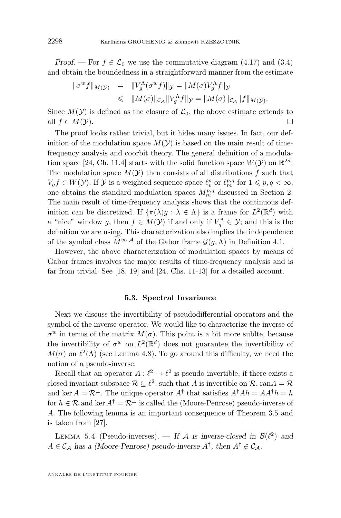<span id="page-20-0"></span>*Proof.* — For  $f \in \mathcal{L}_0$  we use the commutative diagram [\(4.17\)](#page-17-0) and [\(3.4\)](#page-8-0) and obtain the boundedness in a straightforward manner from the estimate

$$
\begin{array}{rcl}\n\|\sigma^w f\|_{M(\mathcal{Y})} & = & \|V_g^{\Lambda}(\sigma^w f)\|_{\mathcal{Y}} = \|M(\sigma)V_g^{\Lambda} f\|_{\mathcal{Y}} \\
& \leq & \|M(\sigma)\|_{\mathcal{C}_{\mathcal{A}}} \|V_g^{\Lambda} f\|_{\mathcal{Y}} = \|M(\sigma)\|_{\mathcal{C}_{\mathcal{A}}} \|f\|_{M(\mathcal{Y})}.\n\end{array}
$$

Since  $M(Y)$  is defined as the closure of  $\mathcal{L}_0$ , the above estimate extends to all  $f \in M(\mathcal{Y})$ .

The proof looks rather trivial, but it hides many issues. In fact, our definition of the modulation space  $M(Y)$  is based on the main result of timefrequency analysis and coorbit theory. The general definition of a modula-tion space [\[24,](#page-35-0) Ch. 11.4] starts with the solid function space  $W(\mathcal{Y})$  on  $\mathbb{R}^{2d}$ . The modulation space  $M(\mathcal{Y})$  then consists of all distributions f such that  $V_g f \in W(\mathcal{Y})$ . If  $\mathcal{Y}$  is a weighted sequence space  $\ell_v^p$  or  $\ell_m^{p,q}$  for  $1 \leqslant p,q < \infty$ , one obtains the standard modulation spaces  $M_m^{p,q}$  discussed in Section 2. The main result of time-frequency analysis shows that the continuous definition can be discretized. If  $\{\pi(\lambda)g : \lambda \in \Lambda\}$  is a frame for  $L^2(\mathbb{R}^d)$  with a "nice" window g, then  $f \in M(\mathcal{Y})$  if and only if  $V_g^{\Lambda} \in \mathcal{Y}$ ; and this is the definition we are using. This characterization also implies the independence of the symbol class  $\widetilde{M}^{\infty,A}$  of the Gabor frame  $\mathcal{G}(q,\Lambda)$  in Definition [4.1.](#page-12-0)

However, the above characterization of modulation spaces by means of Gabor frames involves the major results of time-frequency analysis and is far from trivial. See [\[18,](#page-35-0) [19\]](#page-35-0) and [\[24,](#page-35-0) Chs. 11-13] for a detailed account.

# **5.3. Spectral Invariance**

Next we discuss the invertibility of pseudodifferential operators and the symbol of the inverse operator. We would like to characterize the inverse of  $\sigma^w$  in terms of the matrix  $M(\sigma)$ . This point is a bit more sublite, because the invertibility of  $\sigma^w$  on  $L^2(\mathbb{R}^d)$  does not guarantee the invertibility of  $M(\sigma)$  on  $\ell^2(\Lambda)$  (see Lemma [4.8\)](#page-18-0). To go around this difficulty, we need the notion of a pseudo-inverse.

Recall that an operator  $A: \ell^2 \to \ell^2$  is pseudo-invertible, if there exists a closed invariant subspace  $\mathcal{R} \subseteq \ell^2$ , such that A is invertible on  $\mathcal{R}$ , ran $A = \mathcal{R}$ and ker  $A = \mathcal{R}^{\perp}$ . The unique operator  $A^{\dagger}$  that satisfies  $A^{\dagger}Ah = AA^{\dagger}h = h$ for  $h \in \mathcal{R}$  and ker  $A^{\dagger} = \mathcal{R}^{\perp}$  is called the (Moore-Penrose) pseudo-inverse of A. The following lemma is an important consequence of Theorem [3.5](#page-10-0) and is taken from [\[27\]](#page-35-0).

LEMMA 5.4 (Pseudo-inverses). — If A is inverse-closed in  $\mathcal{B}(\ell^2)$  and  $A \in \mathcal{C}_{\mathcal{A}}$  has a (Moore-Penrose) pseudo-inverse  $A^{\dagger}$ , then  $A^{\dagger} \in \mathcal{C}_{\mathcal{A}}$ .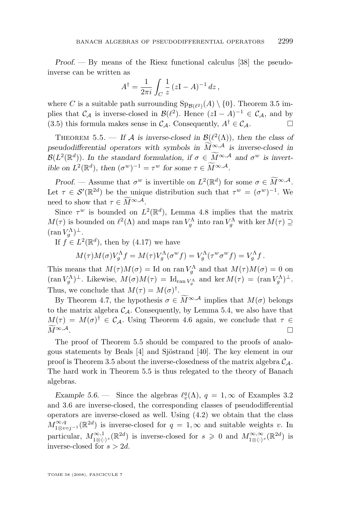<span id="page-21-0"></span>*Proof. —* By means of the Riesz functional calculus [\[38\]](#page-36-0) the pseudoinverse can be written as

$$
A^{\dagger} = \frac{1}{2\pi i} \int_C \frac{1}{z} (zI - A)^{-1} dz,
$$

where C is a suitable path surrounding  $\text{Sp}_{\mathcal{B}(\ell^2)}(A) \setminus \{0\}$ . Theorem [3.5](#page-10-0) implies that  $\mathcal{C}_{\mathcal{A}}$  is inverse-closed in  $\mathcal{B}(\ell^2)$ . Hence  $(zI - A)^{-1} \in \mathcal{C}_{\mathcal{A}}$ , and by [\(3.5\)](#page-10-0) this formula makes sense in  $\mathcal{C}_{\mathcal{A}}$ . Consequently,  $A^{\dagger} \in \mathcal{C}_{\mathcal{A}}$ .

THEOREM 5.5. — If A is inverse-closed in  $\mathcal{B}(\ell^2(\Lambda))$ , then the class of *pseudodifferential operators with symbols in*  $\widetilde{M}^{\infty,A}$  *is inverse-closed in*  $\mathcal{B}(L^2(\mathbb{R}^d))$ . In the standard formulation, if  $\sigma \in \widetilde{M}^{\infty, \mathcal{A}}$  and  $\sigma^w$  is invert*ible on*  $L^2(\mathbb{R}^d)$ *, then*  $(\sigma^w)^{-1} = \tau^w$  *for some*  $\tau \in \widetilde{M}^{\infty, \mathcal{A}}$ *.* 

*Proof.* — Assume that  $\sigma^w$  is invertible on  $L^2(\mathbb{R}^d)$  for some  $\sigma \in \widetilde{M}^{\infty,A}$ . Let  $\tau \in \mathcal{S}'(\mathbb{R}^{2d})$  be the unique distribution such that  $\tau^w = (\sigma^w)^{-1}$ . We need to show that  $\tau \in M^{\infty,A}$ .

Since  $\tau^w$  is bounded on  $L^2(\mathbb{R}^d)$ , Lemma [4.8](#page-18-0) implies that the matrix  $M(\tau)$  is bounded on  $\ell^2(\Lambda)$  and maps ran  $V_g^{\Lambda}$  into ran  $V_g^{\Lambda}$  with ker  $M(\tau) \supseteq$  $(\operatorname{ran} V_g^{\Lambda})^{\perp}$ .

If  $f \in L^2(\mathbb{R}^d)$ , then by  $(4.17)$  we have

$$
M(\tau)M(\sigma)V_g^{\Lambda}f = M(\tau)V_g^{\Lambda}(\sigma^w f) = V_g^{\Lambda}(\tau^w \sigma^w f) = V_g^{\Lambda}f.
$$

This means that  $M(\tau)M(\sigma) = \text{Id}$  on ran  $V_g^{\Lambda}$  and that  $M(\tau)M(\sigma) = 0$  on  $(\operatorname{ran} V_g^{\Lambda})^{\perp}$ . Likewise,  $M(\sigma)M(\tau) = \mathrm{Id}_{\operatorname{ran} V_g^{\Lambda}}$  and  $\ker M(\tau) = (\operatorname{ran} V_g^{\Lambda})^{\perp}$ . Thus, we conclude that  $M(\tau) = M(\sigma)^{\dagger}$ .

By Theorem [4.7,](#page-16-0) the hypothesis  $\sigma \in M^{\infty,A}$  implies that  $M(\sigma)$  belongs to the matrix algebra  $C_A$ . Consequently, by Lemma [5.4,](#page-20-0) we also have that  $M(\tau) = M(\sigma)^{\dagger} \in \mathcal{C}_{\mathcal{A}}$ . Using Theorem [4.6](#page-14-0) again, we conclude that  $\tau \in$  $\widetilde{M}^{\infty,\mathcal{A}}$ .

The proof of Theorem 5.5 should be compared to the proofs of analogous statements by Beals [\[4\]](#page-34-0) and Sjöstrand [\[40\]](#page-36-0). The key element in our proof is Theorem [3.5](#page-10-0) about the inverse-closedness of the matrix algebra  $C_A$ . The hard work in Theorem 5.5 is thus relegated to the theory of Banach algebras.

*Example 5.6.* — Since the algebras  $\ell_v^q(\Lambda)$ ,  $q = 1, \infty$  of Examples [3.2](#page-7-0) and [3.6](#page-10-0) are inverse-closed, the corresponding classes of pseudodifferential operators are inverse-closed as well. Using [\(4.2\)](#page-12-0) we obtain that the class  $M_{1\otimes v \circ j^{-1}}^{\infty,q}(\mathbb{R}^{2d})$  is inverse-closed for  $q=1,\infty$  and suitable weights v. In particular,  $M^{\infty,1}_{1\otimes\langle\cdot\rangle^s}(\mathbb{R}^{2d})$  is inverse-closed for  $s\geqslant 0$  and  $M^{\infty,\infty}_{1\otimes\langle\cdot\rangle^s}(\mathbb{R}^{2d})$  is inverse-closed for  $s > 2d$ .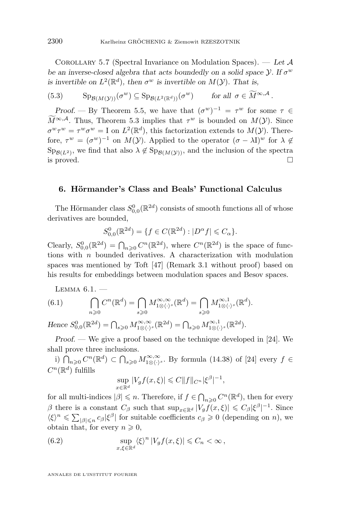<span id="page-22-0"></span>Corollary 5.7 (Spectral Invariance on Modulation Spaces). — *Let* A *be an inverse-closed algebra that acts boundedly on a solid space*  $\mathcal{Y}$ *. If*  $\sigma^w$ *is invertible on*  $L^2(\mathbb{R}^d)$ , then  $\sigma^w$  *is invertible on*  $M(\mathcal{Y})$ *. That is,* 

(5.3) 
$$
\mathrm{Sp}_{\mathcal{B}(M(\mathcal{Y}))}(\sigma^w) \subseteq \mathrm{Sp}_{\mathcal{B}(L^2(\mathbb{R}^d))}(\sigma^w) \quad \text{for all } \sigma \in \widetilde{M}^{\infty,\mathcal{A}}.
$$

*Proof.* — By Theorem [5.5,](#page-21-0) we have that  $(\sigma^w)^{-1} = \tau^w$  for some  $\tau \in$  $M^{\infty, \mathcal{A}}$ . Thus, Theorem [5.3](#page-19-0) implies that  $\tau^w$  is bounded on  $M(\mathcal{Y})$ . Since  $\sigma^w \tau^w = \tau^w \sigma^w = I$  on  $L^2(\mathbb{R}^d)$ , this factorization extends to  $M(\mathcal{Y})$ . Therefore,  $\tau^w = (\sigma^w)^{-1}$  on  $M(\mathcal{Y})$ . Applied to the operator  $(\sigma - \lambda I)^w$  for  $\lambda \notin$  $Sp_{\mathcal{B}(L^2)}$ , we find that also  $\lambda \notin Sp_{\mathcal{B}(M(\mathcal{Y}))}$ , and the inclusion of the spectra is proved.  $\Box$ 

#### **6. Hörmander's Class and Beals' Functional Calculus**

The Hörmander class  $S_{0,0}^{0}(\mathbb{R}^{2d})$  consists of smooth functions all of whose derivatives are bounded,

 $S_{0,0}^{0}(\mathbb{R}^{2d}) = \{f \in C(\mathbb{R}^{2d}) : |D^{\alpha}f| \leqslant C_{\alpha}\}.$ 

Clearly,  $S_{0,0}^0(\mathbb{R}^{2d}) = \bigcap_{n\geqslant 0} C^n(\mathbb{R}^{2d})$ , where  $C^n(\mathbb{R}^{2d})$  is the space of functions with n bounded derivatives. A characterization with modulation spaces was mentioned by Toft [\[47\]](#page-36-0) (Remark 3.1 without proof) based on his results for embeddings between modulation spaces and Besov spaces.

LEMMA  $6.1.$   $-$ 

(6.1) 
$$
\bigcap_{n\geqslant 0}C^n(\mathbb{R}^d)=\bigcap_{s\geqslant 0}M^{\infty,\infty}_{1\otimes\langle\cdot\rangle^s}(\mathbb{R}^d)=\bigcap_{s\geqslant 0}M^{\infty,1}_{1\otimes\langle\cdot\rangle^s}(\mathbb{R}^d).
$$

Hence  $S_{0,0}^0(\mathbb{R}^{2d}) = \bigcap_{s \geqslant 0} M_{1 \otimes \langle \cdot \rangle^s}^{\infty, \infty}(\mathbb{R}^{2d}) = \bigcap_{s \geqslant 0} M_{1 \otimes \langle \cdot \rangle^s}^{\infty, 1}(\mathbb{R}^{2d}).$ 

*Proof. —* We give a proof based on the technique developed in [\[24\]](#page-35-0). We shall prove three inclusions.

i)  $\bigcap_{n\geqslant 0}C^n(\mathbb{R}^d) \subset \bigcap_{s\geqslant 0} M_{1\otimes\langle\cdot\rangle^s}^{\infty,\infty}$ . By formula (14.38) of [\[24\]](#page-35-0) every  $f \in$  $C^n(\mathbb{R}^d)$  fulfills

$$
\sup_{x \in \mathbb{R}^d} |V_g f(x,\xi)| \leqslant C \|f\|_{C^n} |\xi^{\beta}|^{-1},
$$

for all multi-indices  $|\beta| \leq n$ . Therefore, if  $f \in \bigcap_{n\geqslant 0} C^n(\mathbb{R}^d)$ , then for every β there is a constant  $C_\beta$  such that  $\sup_{x \in \mathbb{R}^d} |V_g f(x,\xi)| \leqslant C_\beta |\xi^\beta|^{-1}$ . Since  $\langle \xi \rangle^n \leqslant \sum_{|\beta| \leqslant n} c_{\beta} |\xi^{\beta}|$  for suitable coefficients  $c_{\beta} \geqslant 0$  (depending on n), we obtain that, for every  $n \geqslant 0$ ,

(6.2) 
$$
\sup_{x,\xi\in\mathbb{R}^d} \langle \xi \rangle^n |V_g f(x,\xi)| \leqslant C_n < \infty,
$$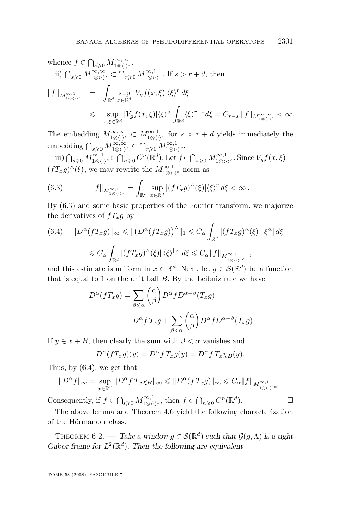$$
\begin{array}{lcl} \text{whence }f\in \bigcap_{s\geqslant 0}M^{\infty,\infty}_{1\otimes\langle \cdot \rangle^{s}}.\\ \text{ii) } \bigcap_{s\geqslant 0}M^{\infty,\infty}_{1\otimes\langle \cdot \rangle^{s}}\subset \bigcap_{r\geqslant 0}M^{\infty,1}_{1\otimes\langle \cdot \rangle^{r}}. \text{ If }s>r+d, \text{ then} \\[5pt] \|f\|_{M^{\infty,1}_{1\otimes\langle \cdot \rangle^{r}}} & = & \displaystyle \int_{\mathbb{R}^{d}}\sup_{x\in \mathbb{R}^{d}}|V_{g}f(x,\xi)|\langle \xi \rangle^{r}\,d\xi \\[5pt] & \leqslant& \sup_{x,\xi\in \mathbb{R}^{d}}|V_{g}f(x,\xi)|\langle \xi \rangle^{s}\int_{\mathbb{R}^{d}}\langle \xi \rangle^{r-s}d\xi=C_{r-s}\,\|f\|_{M^{\infty,\infty}_{1\otimes\langle \cdot \rangle^{s}}}<\infty. \end{array}
$$

The embedding  $M_{1\otimes\langle\cdot\rangle^s}^{\infty,\infty} \subset M_{1\otimes\langle\cdot\rangle^r}^{\infty,1}$  for  $s > r + d$  yields immediately the embedding  $\bigcap_{s\geqslant 0} M_{1\otimes\langle\cdot\rangle^s}^{\infty,\infty}\subset \bigcap_{r\geqslant 0} M_{1\otimes\langle\cdot\rangle^r}^{\infty,1}.$ 

iii)  $\bigcap_{s\geqslant 0} M^{\infty,1}_{1\otimes\langle\cdot\rangle^s}\subset \bigcap_{n\geqslant 0} C^n(\mathbb{R}^d)$ . Let  $f\in \bigcap_{s\geqslant 0} M^{\infty,1}_{1\otimes\langle\cdot\rangle^s}$ . Since  $V_g f(x,\xi)$  $(fT_x g)^{\wedge}(\xi)$ , we may rewrite the  $M_{1\otimes\langle\cdot\rangle^s}^{\infty,1}$ -norm as

(6.3) 
$$
||f||_{M^{\infty,1}_{1\otimes\langle\cdot\rangle^s}} = \int_{\mathbb{R}^d} \sup_{x\in\mathbb{R}^d} |(fT_xg)^\wedge(\xi)|\langle\xi\rangle^r d\xi < \infty.
$$

By (6.3) and some basic properties of the Fourier transform, we majorize the derivatives of  $fT_xg$  by

$$
(6.4) \quad ||D^{\alpha}(fT_xg)||_{\infty} \leq ||(D^{\alpha}(fT_xg))^{\wedge}||_1 \leq C_{\alpha} \int_{\mathbb{R}^d} |(fT_xg)^{\wedge}(\xi)| |\xi^{\alpha}| d\xi
$$
  

$$
\leq C_{\alpha} \int_{\mathbb{R}^d} |(fT_xg)^{\wedge}(\xi)| |\xi^{\wedge |\alpha|} d\xi \leq C_{\alpha} ||f||_{M^{\infty,1}_{1\otimes \langle \cdot \rangle^{|\alpha|}}},
$$

and this estimate is uniform in  $x \in \mathbb{R}^d$ . Next, let  $g \in \mathcal{S}(\mathbb{R}^d)$  be a function that is equal to 1 on the unit ball B. By the Leibniz rule we have

$$
D^{\alpha}(fT_x g) = \sum_{\beta \leq \alpha} {\alpha \choose \beta} D^{\alpha} f D^{\alpha-\beta}(T_x g)
$$
  
= 
$$
D^{\alpha} f T_x g + \sum_{\beta < \alpha} {\alpha \choose \beta} D^{\alpha} f D^{\alpha-\beta}(T_x g)
$$

If  $y \in x + B$ , then clearly the sum with  $\beta < \alpha$  vanishes and

$$
D^{\alpha}(fT_xg)(y) = D^{\alpha}fT_xg(y) = D^{\alpha}fT_x\chi_B(y).
$$

Thus, by (6.4), we get that

$$
||D^{\alpha}f||_{\infty} = \sup_{x \in \mathbb{R}^d} ||D^{\alpha}f T_x \chi_B||_{\infty} \le ||D^{\alpha}(f T_x g)||_{\infty} \le C_{\alpha} ||f||_{M^{\infty,1}_{1\otimes \langle \cdot \rangle^{|\alpha|}}}.
$$

Consequently, if  $f \in \bigcap_{s \geqslant 0} M^{\infty,1}_{1 \otimes \langle \cdot \rangle^s}$ , then  $f \in \bigcap_{n \geqslant 0} C^n(\mathbb{R}^d)$  $\Box$ 

The above lemma and Theorem [4.6](#page-14-0) yield the following characterization of the Hörmander class.

THEOREM 6.2. — *Take a window*  $g \in \mathcal{S}(\mathbb{R}^d)$  such that  $\mathcal{G}(g,\Lambda)$  is a tight Gabor frame for  $L^2(\mathbb{R}^d)$ . Then the following are equivalent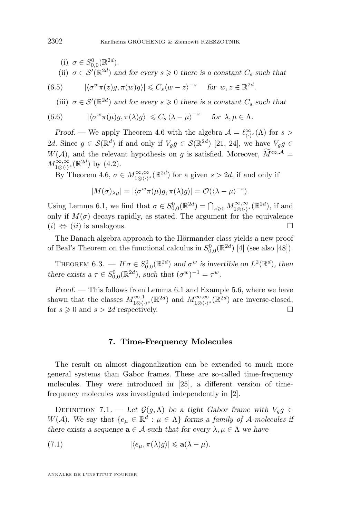\n- (i) 
$$
\sigma \in S_{0,0}^0(\mathbb{R}^{2d})
$$
.
\n- (ii)  $\sigma \in \mathcal{S}'(\mathbb{R}^{2d})$  and for every  $s \geq 0$  there is a constant  $C_s$  such that
\n

(6.5) 
$$
|\langle \sigma^w \pi(z)g, \pi(w)g \rangle| \leqslant C_s \langle w-z \rangle^{-s} \quad \text{for } w, z \in \mathbb{R}^{2d}.
$$

(iii)  $\sigma \in \mathcal{S}'(\mathbb{R}^{2d})$  and for every  $s \geq 0$  there is a constant  $C_s$  such that

(6.6) 
$$
|\langle \sigma^w \pi(\mu)g, \pi(\lambda)g \rangle| \leq C_s \langle \lambda - \mu \rangle^{-s} \quad \text{for } \lambda, \mu \in \Lambda.
$$

*Proof.* — We apply Theorem [4.6](#page-14-0) with the algebra  $\mathcal{A} = \ell^{\infty}_{\langle \cdot \rangle^s}(\Lambda)$  for s > 2d. Since  $g \in \mathcal{S}(\mathbb{R}^d)$  if and only if  $V_g g \in \mathcal{S}(\mathbb{R}^{2d})$  [\[21,](#page-35-0) [24\]](#page-35-0), we have  $V_g g \in$ W(A), and the relevant hypothesis on g is satisfied. Moreover,  $\widetilde{M}^{\infty,A}$  $M_{1\otimes\langle\cdot\rangle^s}^{\infty,\infty}(\mathbb{R}^{2d})$  by  $(4.2)$ .

By Theorem [4.6,](#page-14-0)  $\sigma \in M^{\infty,\infty}_{1\otimes\langle \cdot \rangle^s}(\mathbb{R}^{2d})$  for a given  $s > 2d$ , if and only if

$$
|M(\sigma)_{\lambda\mu}|=|\langle \sigma^w\pi(\mu)g,\pi(\lambda)g\rangle|=\mathcal{O}(\langle \lambda-\mu\rangle^{-s}).
$$

Using Lemma [6.1,](#page-22-0) we find that  $\sigma \in S_{0,0}^0(\mathbb{R}^{2d}) = \bigcap_{s \geq 0} M_{1 \otimes \langle \cdot \rangle^s}^{\infty, \infty}(\mathbb{R}^{2d})$ , if and only if  $M(\sigma)$  decays rapidly, as stated. The argument for the equivalence  $(i) \Leftrightarrow (ii)$  is analogous.

The Banach algebra approach to the Hörmander class yields a new proof of Beal's Theorem on the functional calculus in  $S_{0,0}^0(\mathbb{R}^{2d})$  [\[4\]](#page-34-0) (see also [\[48\]](#page-36-0)).

THEOREM 6.3. — If  $\sigma \in S_{0,0}^{0}(\mathbb{R}^{2d})$  and  $\sigma^{w}$  is invertible on  $L^{2}(\mathbb{R}^{d})$ , then *there exists a*  $\tau \in S_{0,0}^{0}(\mathbb{R}^{2d})$ *, such that*  $(\sigma^{w})^{-1} = \tau^{w}$ *.* 

*Proof. —* This follows from Lemma [6.1](#page-22-0) and Example [5.6,](#page-21-0) where we have shown that the classes  $M^{\infty,1}_{1\otimes\langle\cdot\rangle^s}(\mathbb{R}^{2d})$  and  $M^{\infty,\infty}_{1\otimes\langle\cdot\rangle^s}(\mathbb{R}^{2d})$  are inverse-closed, for  $s \geq 0$  and  $s > 2d$  respectively.

# **7. Time-Frequency Molecules**

The result on almost diagonalization can be extended to much more general systems than Gabor frames. These are so-called time-frequency molecules. They were introduced in [\[25\]](#page-35-0), a different version of timefrequency molecules was investigated independently in [\[2\]](#page-34-0).

DEFINITION 7.1. — Let  $\mathcal{G}(g,\Lambda)$  be a tight Gabor frame with  $V_g g \in$ W(A). We say that  $\{e_{\mu} \in \mathbb{R}^d : \mu \in \Lambda\}$  forms a *family of* A-molecules if *there exists a sequence*  $\mathbf{a} \in \mathcal{A}$  *such that for every*  $\lambda, \mu \in \Lambda$  *we have* 

(7.1) 
$$
|\langle e_{\mu}, \pi(\lambda)g \rangle| \leq \mathbf{a}(\lambda - \mu).
$$

<span id="page-24-0"></span>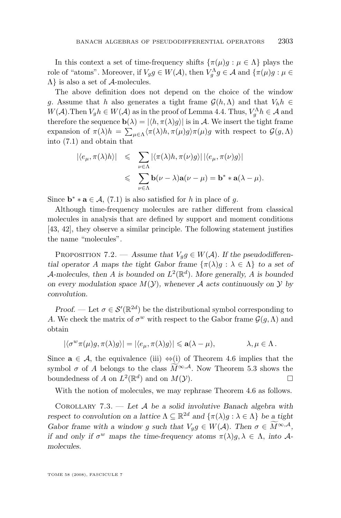In this context a set of time-frequency shifts  $\{\pi(\mu)g : \mu \in \Lambda\}$  plays the role of "atoms". Moreover, if  $V_g g \in W(\mathcal{A})$ , then  $V_g^{\Lambda} g \in \mathcal{A}$  and  $\{\pi(\mu)g : \mu \in$  $\Lambda$  is also a set of  $\mathcal A$ -molecules.

The above definition does not depend on the choice of the window g. Assume that h also generates a tight frame  $\mathcal{G}(h,\Lambda)$  and that  $V_h h \in$  $W(\mathcal{A}).$  Then  $V_g h \in W(\mathcal{A})$  as in the proof of Lemma [4.4.](#page-13-0) Thus,  $V_g^{\Lambda} h \in \mathcal{A}$  and therefore the sequence  $\mathbf{b}(\lambda) = |\langle h, \pi(\lambda)g \rangle|$  is in A. We insert the tight frame expansion of  $\pi(\lambda)h = \sum_{\mu \in \Lambda} \langle \pi(\lambda)h, \pi(\mu)g \rangle \pi(\mu)g$  with respect to  $\mathcal{G}(g,\Lambda)$ into [\(7.1\)](#page-24-0) and obtain that

$$
\begin{array}{rcl} \left| \langle e_\mu, \pi(\lambda)h \rangle \right| & \leqslant & \sum_{\nu \in \Lambda} \left| \langle \pi(\lambda)h, \pi(\nu)g \rangle \right| \left| \langle e_\mu, \pi(\nu)g \rangle \right| \\ & \leqslant & \sum_{\nu \in \Lambda} \mathbf{b}(\nu - \lambda) \mathbf{a}(\nu - \mu) = \mathbf{b}^* \ast \mathbf{a}(\lambda - \mu). \end{array}
$$

Since  $\mathbf{b}^* * \mathbf{a} \in \mathcal{A}, (7.1)$  $\mathbf{b}^* * \mathbf{a} \in \mathcal{A}, (7.1)$  is also satisfied for h in place of g.

Although time-frequency molecules are rather different from classical molecules in analysis that are defined by support and moment conditions [\[43,](#page-36-0) [42\]](#page-36-0), they observe a similar principle. The following statement justifies the name "molecules".

PROPOSITION 7.2. — Assume that  $V_{g}g \in W(A)$ . If the pseudodifferen*tial operator* A maps the tight Gabor frame  $\{\pi(\lambda)q : \lambda \in \Lambda\}$  to a set of A-molecules, then A is bounded on  $L^2(\mathbb{R}^d)$ . More generally, A is bounded *on every modulation space*  $M(Y)$ *, whenever* A *acts continuously on* Y *by convolution.*

*Proof.* — Let  $\sigma \in \mathcal{S}'(\mathbb{R}^{2d})$  be the distributional symbol corresponding to A. We check the matrix of  $\sigma^w$  with respect to the Gabor frame  $\mathcal{G}(g,\Lambda)$  and obtain

$$
|\langle \sigma^w \pi(\mu) g, \pi(\lambda) g \rangle| = |\langle e_\mu, \pi(\lambda) g \rangle| \leq \mathbf{a}(\lambda - \mu), \qquad \lambda, \mu \in \Lambda.
$$

Since  $\mathbf{a} \in \mathcal{A}$ , the equivalence (iii)  $\Leftrightarrow$  (i) of Theorem [4.6](#page-14-0) implies that the symbol  $\sigma$  of A belongs to the class  $\overline{M}^{\infty, A}$ . Now Theorem [5.3](#page-19-0) shows the boundedness of A on  $L^2(\mathbb{R}^d)$  and on  $M(\mathcal{V})$ boundedness of A on  $L^2(\mathbb{R}^d)$  and on  $M(\mathcal{Y})$ .

With the notion of molecules, we may rephrase Theorem [4.6](#page-14-0) as follows.

Corollary 7.3. — *Let* A *be a solid involutive Banach algebra with respect to convolution on a lattice*  $\Lambda \subseteq \mathbb{R}^{2d}$  *and*  $\{\pi(\lambda)g : \lambda \in \Lambda\}$  *be a tight Gabor frame with a window g such that*  $V_g g \in W(\mathcal{A})$ *. Then*  $\sigma \in \widetilde{M}^{\infty, \mathcal{A}}$ *, if and only if*  $\sigma^w$  *maps the time-frequency atoms*  $\pi(\lambda)g, \lambda \in \Lambda$ , *into* A*molecules.*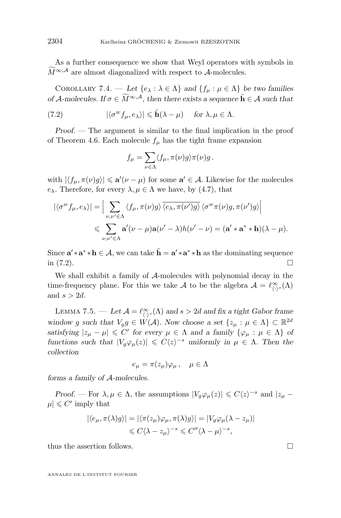<span id="page-26-0"></span>As a further consequence we show that Weyl operators with symbols in  $M^{\infty,\mathcal{A}}$  are almost diagonalized with respect to  $\mathcal{A}$ -molecules.

COROLLARY 7.4. — Let  $\{e_{\lambda} : \lambda \in \Lambda\}$  and  $\{f_{\mu} : \mu \in \Lambda\}$  be two families *of* A-molecules. If  $\sigma \in M^{\infty, A}$ , then there exists a sequence  $\tilde{h} \in A$  such that

(7.2) 
$$
|\langle \sigma^w f_\mu, e_\lambda \rangle| \leq \tilde{\mathbf{h}}(\lambda - \mu) \quad \text{for } \lambda, \mu \in \Lambda.
$$

*Proof. —* The argument is similar to the final implication in the proof of Theorem [4.6.](#page-14-0) Each molecule  $f_{\mu}$  has the tight frame expansion

$$
f_{\mu} = \sum_{\nu \in \Lambda} \langle f_{\mu}, \pi(\nu)g \rangle \pi(\nu)g.
$$

with  $|\langle f_\mu, \pi(\nu)g\rangle| \leq \mathbf{a}'(\nu - \mu)$  for some  $\mathbf{a}' \in \mathcal{A}$ . Likewise for the molecules  $e_{\lambda}$ . Therefore, for every  $\lambda, \mu \in \Lambda$  we have, by [\(4.7\)](#page-14-0), that

$$
\left| \langle \sigma^w f_\mu, e_\lambda \rangle \right| = \Big| \sum_{\nu, \nu' \in \Lambda} \langle f_\mu, \pi(\nu) g \rangle \overline{\langle e_\lambda, \pi(\nu') g \rangle} \langle \sigma^w \pi(\nu) g, \pi(\nu') g \rangle \Big|
$$
  
\$\leqslant \sum\_{\nu, \nu' \in \Lambda} \mathbf{a}'(\nu - \mu) \mathbf{a}(\nu' - \lambda) h(\nu' - \nu) = (\mathbf{a}' \ast \mathbf{a}^\* \ast \mathbf{h})(\lambda - \mu).

Since  $\mathbf{a}' \cdot \mathbf{a}^* \cdot \mathbf{h} \in \mathcal{A}$ , we can take  $\tilde{\mathbf{h}} = \mathbf{a}' \cdot \mathbf{a}^* \cdot \mathbf{h}$  as the dominating sequence in  $(7.2)$ .

We shall exhibit a family of A-molecules with polynomial decay in the time-frequency plane. For this we take A to be the algebra  $\mathcal{A} = \ell^{\infty}_{\langle \cdot \rangle^s}(\Lambda)$ and  $s > 2d$ .

LEMMA 7.5. — Let  $\mathcal{A} = \ell^{\infty}_{\langle \cdot \rangle^s}(\Lambda)$  and  $s > 2d$  and fix a tight Gabor frame *window* g *such that*  $V_g g \in W(\mathcal{A})$ *. Now choose a set*  $\{z_\mu : \mu \in \Lambda\} \subset \mathbb{R}^{2d}$ *satisfying*  $|z_{\mu} - \mu| \leq C'$  *for every*  $\mu \in \Lambda$  *and a family*  $\{\varphi_{\mu} : \mu \in \Lambda\}$  *of functions such that*  $|V_g \varphi_\mu(z)| \leq C \langle z \rangle^{-s}$  *uniformly in*  $\mu \in \Lambda$ *. Then the collection*

$$
e_{\mu} = \pi(z_{\mu})\varphi_{\mu} , \quad \mu \in \Lambda
$$

*forms a family of* A*-molecules.*

*Proof.* — For  $\lambda, \mu \in \Lambda$ , the assumptions  $|V_g \varphi_\mu(z)| \leqslant C \langle z \rangle^{-s}$  and  $|z_\mu - z|$  $|\mu| \leq C'$  imply that

$$
|\langle e_{\mu}, \pi(\lambda)g \rangle| = |\langle \pi(z_{\mu})\varphi_{\mu}, \pi(\lambda)g \rangle| = |V_g \varphi_{\mu}(\lambda - z_{\mu})|
$$
  

$$
\leq C \langle \lambda - z_{\mu} \rangle^{-s} \leq C'' \langle \lambda - \mu \rangle^{-s},
$$

thus the assertion follows.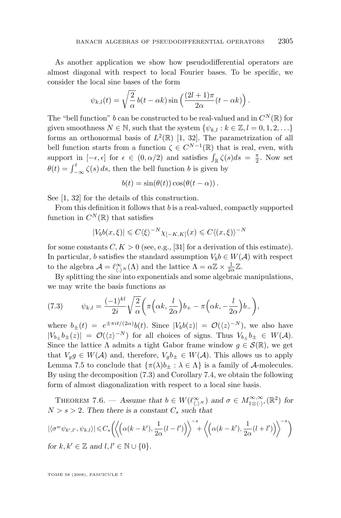As another application we show how pseudodifferential operators are almost diagonal with respect to local Fourier bases. To be specific, we consider the local sine bases of the form

$$
\psi_{k,l}(t) = \sqrt{\frac{2}{\alpha}} b(t - \alpha k) \sin\left(\frac{(2l+1)\pi}{2\alpha}(t - \alpha k)\right).
$$

The "bell function" b can be constructed to be real-valued and in  $C^N(\mathbb{R})$  for given smoothness  $N \in \mathbb{N}$ , such that the system  $\{\psi_{k,l} : k \in \mathbb{Z}, l = 0, 1, 2, \ldots\}$ forms an orthonormal basis of  $L^2(\mathbb{R})$  [\[1,](#page-34-0) [32\]](#page-35-0). The parametrization of all bell function starts from a function  $\zeta \in C^{N-1}(\mathbb{R})$  that is real, even, with support in  $[-\epsilon, \epsilon]$  for  $\epsilon \in (0, \alpha/2)$  and satisfies  $\int_{\mathbb{R}} \zeta(s) ds = \frac{\pi}{2}$ . Now set  $\theta(t) = \int_{-\infty}^{t} \zeta(s) ds$ , then the bell function b is given by

$$
b(t) = \sin(\theta(t))\cos(\theta(t-\alpha)).
$$

See [\[1,](#page-34-0) [32\]](#page-35-0) for the details of this construction.

From this definition it follows that b is a real-valued, compactly supported function in  $C^N(\mathbb{R})$  that satisfies

$$
|V_b b(x,\xi)| \leqslant C \langle \xi \rangle^{-N} \chi_{[-K,K]}(x) \leqslant C \langle (x,\xi) \rangle^{-N}
$$

for some constants  $C, K > 0$  (see, e.g., [\[31\]](#page-35-0) for a derivation of this estimate). In particular, b satisfies the standard assumption  $V_b b \in W(\mathcal{A})$  with respect to the algebra  $\mathcal{A} = \ell^{\infty}_{\langle . \rangle^N}(\Lambda)$  and the lattice  $\Lambda = \alpha \mathbb{Z} \times \frac{1}{2\alpha} \mathbb{Z}$ .

By splitting the sine into exponentials and some algebraic manipulations, we may write the basis functions as

(7.3) 
$$
\psi_{k,l} = \frac{(-1)^{kl}}{2i} \sqrt{\frac{2}{\alpha}} \left( \pi \left( \alpha k, \frac{l}{2\alpha} \right) b_+ - \pi \left( \alpha k, -\frac{l}{2\alpha} \right) b_- \right),
$$

where  $b_{\pm}(t) = e^{\pm \pi i t/(2\alpha)}b(t)$ . Since  $|V_b b(z)| = \mathcal{O}(\langle z \rangle^{-N})$ , we also have  $|V_{b_{\pm}}b_{\pm}(z)| = \mathcal{O}(\langle z \rangle^{-N})$  for all choices of signs. Thus  $V_{b_{\pm}}b_{\pm} \in W(\mathcal{A})$ . Since the lattice  $\Lambda$  admits a tight Gabor frame window  $g \in \mathcal{S}(\mathbb{R})$ , we get that  $V_g g \in W(\mathcal{A})$  and, therefore,  $V_g b_{\pm} \in W(\mathcal{A})$ . This allows us to apply Lemma [7.5](#page-26-0) to conclude that  $\{\pi(\lambda)b_+ : \lambda \in \Lambda\}$  is a family of A-molecules. By using the decomposition (7.3) and Corollary [7.4,](#page-26-0) we obtain the following form of almost diagonalization with respect to a local sine basis.

THEOREM 7.6. — Assume that  $b \in W(\ell^{\infty}_{\langle . \rangle^N})$  and  $\sigma \in M^{\infty, \infty}_{1 \otimes \langle . \rangle^s}(\mathbb{R}^2)$  for  $N > s > 2$ . Then there is a constant  $C_s$  such that

$$
|\langle \sigma^w \psi_{k',l'}, \psi_{k,l} \rangle| \leq C_s \left( \left\langle \left( \alpha(k-k'), \frac{1}{2\alpha}(l-l') \right) \right\rangle^{-s} + \left\langle \left( \alpha(k-k'), \frac{1}{2\alpha}(l+l') \right) \right\rangle^{-s} \right)
$$
  
for  $k, k' \in \mathbb{Z}$  and  $l, l' \in \mathbb{N} \cup \{0\}.$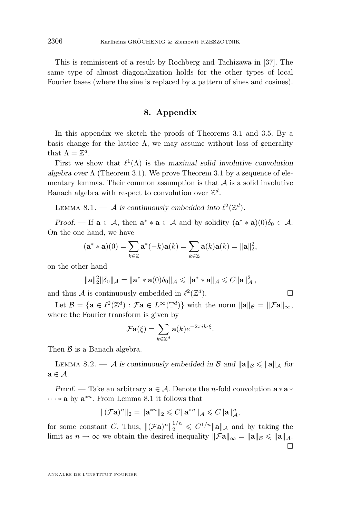<span id="page-28-0"></span>This is reminiscent of a result by Rochberg and Tachizawa in [\[37\]](#page-36-0). The same type of almost diagonalization holds for the other types of local Fourier bases (where the sine is replaced by a pattern of sines and cosines).

# **8. Appendix**

In this appendix we sketch the proofs of Theorems [3.1](#page-7-0) and [3.5.](#page-10-0) By a basis change for the lattice  $\Lambda$ , we may assume without loss of generality that  $\Lambda = \mathbb{Z}^d$ .

First we show that  $\ell^1(\Lambda)$  is the *maximal solid involutive convolution algebra over* Λ (Theorem [3.1\)](#page-7-0). We prove Theorem [3.1](#page-7-0) by a sequence of elementary lemmas. Their common assumption is that  $A$  is a solid involutive Banach algebra with respect to convolution over  $\mathbb{Z}^d$ .

LEMMA 8.1.  $-$  *A* is continuously embedded into  $\ell^2(\mathbb{Z}^d)$ .

*Proof.* — If  $\mathbf{a} \in \mathcal{A}$ , then  $\mathbf{a}^* * \mathbf{a} \in \mathcal{A}$  and by solidity  $(\mathbf{a}^* * \mathbf{a})(0)\delta_0 \in \mathcal{A}$ . On the one hand, we have

$$
(\mathbf{a}^* * \mathbf{a})(0) = \sum_{k \in \mathbb{Z}} \mathbf{a}^*(-k) \mathbf{a}(k) = \sum_{k \in \mathbb{Z}} \overline{\mathbf{a}(k)} \mathbf{a}(k) = \|\mathbf{a}\|_2^2,
$$

on the other hand

$$
\|\mathbf{a}\|_2^2 \|\delta_0\|_{\mathcal{A}} = \|\mathbf{a}^* * \mathbf{a}(0)\delta_0\|_{\mathcal{A}} \le \|\mathbf{a}^* * \mathbf{a}\|_{\mathcal{A}} \le C \|\mathbf{a}\|_{\mathcal{A}}^2,
$$

and thus A is continuously embedded in  $\ell^2(\mathbb{Z}^d)$ ).  $\qquad \qquad \Box$ 

Let  $\mathcal{B} = \{ \mathbf{a} \in \ell^2(\mathbb{Z}^d) : \mathcal{F}\mathbf{a} \in L^\infty(\mathbb{T}^d) \}$  with the norm  $\|\mathbf{a}\|_{\mathcal{B}} = \|\mathcal{F}\mathbf{a}\|_{\infty}$ , where the Fourier transform is given by

$$
\mathcal{F}\mathbf{a}(\xi) = \sum_{k \in \mathbb{Z}^d} \mathbf{a}(k) e^{-2\pi i k \cdot \xi}.
$$

Then  $\beta$  is a Banach algebra.

LEMMA 8.2. — A is continuously embedded in B and  $\|\mathbf{a}\|_{\mathcal{B}} \le \|\mathbf{a}\|_{\mathcal{A}}$  for  $a \in \mathcal{A}$ .

*Proof.* — Take an arbitrary  $\mathbf{a} \in \mathcal{A}$ . Denote the *n*-fold convolution  $\mathbf{a} * \mathbf{a} *$  $\cdots *$  a by  $\mathbf{a}^{*n}$ . From Lemma 8.1 it follows that

$$
\|(\mathcal{F}\mathbf{a})^n\|_2 = \|\mathbf{a}^{*n}\|_2 \leqslant C \|\mathbf{a}^{*n}\|_{\mathcal{A}} \leqslant C \|\mathbf{a}\|_{\mathcal{A}}^n,
$$

for some constant C. Thus,  $\|(\mathcal{F}a)^n\|_2^{1/n} \leq C^{1/n} \|a\|_{\mathcal{A}}$  and by taking the limit as  $n \to \infty$  we obtain the desired inequality  $\|\mathcal{F}\mathbf{a}\|_{\infty} = \|\mathbf{a}\|_{\mathcal{B}} \leq \|\mathbf{a}\|_{\mathcal{A}}$ .  $\Box$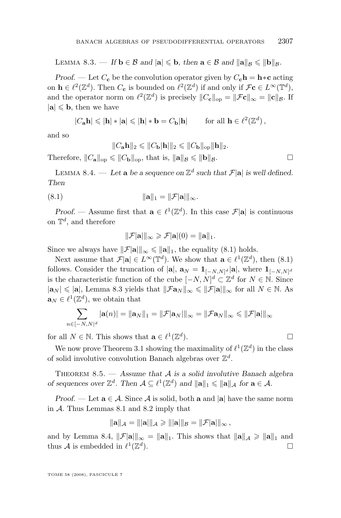LEMMA 8.3. — *If*  $\mathbf{b} \in \mathcal{B}$  *and*  $|\mathbf{a}| \leqslant \mathbf{b}$ *, then*  $\mathbf{a} \in \mathcal{B}$  *and*  $\|\mathbf{a}\|_{\mathcal{B}} \leqslant \|\mathbf{b}\|_{\mathcal{B}}$ *.* 

*Proof.* — Let  $C_c$  be the convolution operator given by  $C_c$ **h** = **h**∗**c** acting on  $\mathbf{h} \in \ell^2(\mathbb{Z}^d)$ . Then  $C_{\mathbf{c}}$  is bounded on  $\ell^2(\mathbb{Z}^d)$  if and only if  $\mathcal{F}\mathbf{c} \in L^{\infty}(\mathbb{T}^d)$ , and the operator norm on  $\ell^2(\mathbb{Z}^d)$  is precisely  $||C_{\mathbf{c}}||_{op} = ||\mathcal{F}\mathbf{c}||_{\infty} = ||\mathbf{c}||_{\mathcal{B}}$ . If  $|\mathbf{a}| \leqslant \mathbf{b}$ , then we have

$$
|C_{\mathbf{a}}\mathbf{h}| \leqslant |\mathbf{h}| * |\mathbf{a}| \leqslant |\mathbf{h}| * \mathbf{b} = C_{\mathbf{b}} |\mathbf{h}| \quad \text{for all } \mathbf{h} \in \ell^2(\mathbb{Z}^d),
$$

and so

$$
||C_{\mathbf{a}}\mathbf{h}||_2 \leq ||C_{\mathbf{b}}|\mathbf{h}||_2 \leq ||C_{\mathbf{b}}||_{op}||\mathbf{h}||_2.
$$

Therefore,  $||C_{\mathbf{a}}||_{op} \le ||C_{\mathbf{b}}||_{op}$ , that is,  $||\mathbf{a}||_B \le ||\mathbf{b}||_B$ .

LEMMA 8.4. — Let **a** be a sequence on  $\mathbb{Z}^d$  such that  $\mathcal{F}[\mathbf{a}]$  is well defined. *Then*

$$
||\mathbf{a}||_1 = ||\mathcal{F}|\mathbf{a}||_{\infty}.
$$

*Proof.* — Assume first that  $\mathbf{a} \in \ell^1(\mathbb{Z}^d)$ . In this case  $\mathcal{F}[\mathbf{a}]$  is continuous on  $\mathbb{T}^d$ , and therefore

$$
\|\mathcal{F}[\mathbf{a}]\|_{\infty} \geqslant \mathcal{F}[\mathbf{a}](0) = \|\mathbf{a}\|_{1}.
$$

Since we always have  $||\mathcal{F}[\mathbf{a}||]_{\infty} \le ||\mathbf{a}||_1$ , the equality (8.1) holds.

Next assume that  $\mathcal{F}|\mathbf{a}| \in L^{\infty}(\mathbb{T}^d)$ . We show that  $\mathbf{a} \in \ell^1(\mathbb{Z}^d)$ , then  $(8.1)$ follows. Consider the truncation of  $|\mathbf{a}|$ ,  $\mathbf{a}_N = \mathbf{1}_{[-N,N]^d} |\mathbf{a}|$ , where  $\mathbf{1}_{[-N,N]^d}$ is the characteristic function of the cube  $[-N, N]^d \subset \mathbb{Z}^d$  for  $N \in \mathbb{N}$ . Since  $|\mathbf{a}_N| \leq |\mathbf{a}|$ , Lemma [8.3](#page-28-0) yields that  $||\mathcal{F}\mathbf{a}_N||_{\infty} \leq ||\mathcal{F}|\mathbf{a}||_{\infty}$  for all  $N \in \mathbb{N}$ . As  $\mathbf{a}_N \in \ell^1(\mathbb{Z}^d)$ , we obtain that

$$
\sum_{n\in[-N,N]^d}|\mathbf{a}(n)|=\|\mathbf{a}_N\|_1=\|\mathcal{F}|\mathbf{a}_N|\|_{\infty}=\|\mathcal{F}\mathbf{a}_N\|_{\infty}\leq \|\mathcal{F}|\mathbf{a}|\|_{\infty}
$$

for all  $N \in \mathbb{N}$ . This shows that  $\mathbf{a} \in \ell^1(\mathbb{Z}^d)$ ).  $\qquad \qquad \Box$ 

We now prove Theorem [3.1](#page-7-0) showing the maximality of  $\ell^1(\mathbb{Z}^d)$  in the class of solid involutive convolution Banach algebras over  $\mathbb{Z}^d$ .

Theorem 8.5. — *Assume that* A *is a solid involutive Banach algebra of sequences over*  $\mathbb{Z}^d$ . Then  $\mathcal{A} \subseteq \ell^1(\mathbb{Z}^d)$  and  $\|\mathbf{a}\|_1 \le \|\mathbf{a}\|_{\mathcal{A}}$  for  $\mathbf{a} \in \mathcal{A}$ .

*Proof.* — Let  $\mathbf{a} \in \mathcal{A}$ . Since  $\mathcal{A}$  is solid, both  $\mathbf{a}$  and  $|\mathbf{a}|$  have the same norm in A. Thus Lemmas [8.1](#page-28-0) and [8.2](#page-28-0) imply that

$$
\|{\mathbf a}\|_{\mathcal A}=\||{\mathbf a}|\|_{\mathcal A}\geqslant \||{\mathbf a}|\|_{\mathcal B}=\|{\mathcal F}|{\mathbf a}|\|_{\infty}\,,
$$

and by Lemma 8.4,  $||\mathcal{F}||_{\infty} = ||\mathbf{a}||_1$ . This shows that  $||\mathbf{a}||_A \ge ||\mathbf{a}||_1$  and thus A is embedded in  $\ell^1(\mathbb{Z}^d)$  $\Box$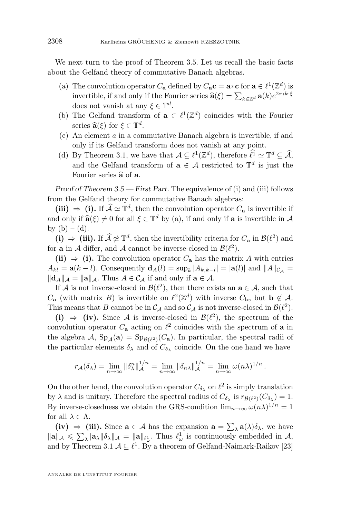We next turn to the proof of Theorem [3.5.](#page-10-0) Let us recall the basic facts about the Gelfand theory of commutative Banach algebras.

- (a) The convolution operator  $C_{\mathbf{a}}$  defined by  $C_{\mathbf{a}} \mathbf{c} = \mathbf{a} * \mathbf{c}$  for  $\mathbf{a} \in \ell^1(\mathbb{Z}^d)$  is invertible, if and only if the Fourier series  $\hat{\mathbf{a}}(\xi) = \sum_{k \in \mathbb{Z}^d} \mathbf{a}(k) e^{2\pi i k \cdot \xi}$ does not vanish at any  $\xi \in \mathbb{T}^d$ .
- (b) The Gelfand transform of  $\mathbf{a} \in \ell^1(\mathbb{Z}^d)$  coincides with the Fourier series  $\hat{\mathbf{a}}(\xi)$  for  $\xi \in \mathbb{T}^d$ .<br>An element  $\hat{\mathbf{a}}$  in a con-
- (c) An element a in a commutative Banach algebra is invertible, if and only if its Gelfand transform does not vanish at any point.
- (d) By Theorem [3.1,](#page-7-0) we have that  $\mathcal{A} \subseteq \ell^1(\mathbb{Z}^d)$ , therefore  $\ell^1 \simeq \mathbb{T}^d \subseteq \widehat{\mathcal{A}}$ , and the Gelfand transform of  $\mathbf{a} \in \mathcal{A}$  restricted to  $\mathbb{T}^d$  is just the Fourier series  $\hat{a}$  of  $a$ .

*Proof of Theorem [3.5](#page-10-0) — First Part.* The equivalence of (i) and (iii) follows from the Gelfand theory for commutative Banach algebras:

**(iii)**  $\Rightarrow$  **(i)**. If  $\hat{\mathcal{A}} \simeq \mathbb{T}^d$ , then the convolution operator  $C_{\mathbf{a}}$  is invertible if and only if  $\hat{\mathbf{a}}(\xi) \neq 0$  for all  $\xi \in \mathbb{T}^d$  by (a), if and only if **a** is invertible in  $\mathcal{A}$ <br>by (b) (d) by  $(b) - (d)$ .

**(i)** ⇒ **(iii).** If  $\hat{A} \not\simeq \mathbb{T}^d$ , then the invertibility criteria for  $C_a$  in  $\mathcal{B}(\ell^2)$  and for **a** in A differ, and A cannot be inverse-closed in  $\mathcal{B}(\ell^2)$ .

**(ii)**  $\Rightarrow$  **(i).** The convolution operator  $C_{\mathbf{a}}$  has the matrix A with entries  $A_{kl} = \mathbf{a}(k-l)$ . Consequently  $\mathbf{d}_A(l) = \sup_k |A_{k,k-l}| = |\mathbf{a}(l)|$  and  $||A||_{\mathcal{C}_{\mathcal{A}}} =$  $\|\mathbf{d}_A\|_{\mathcal{A}} = \|\mathbf{a}\|_{\mathcal{A}}$ . Thus  $A \in \mathcal{C}_{\mathcal{A}}$  if and only if  $\mathbf{a} \in \mathcal{A}$ .

If A is not inverse-closed in  $\mathcal{B}(\ell^2)$ , then there exists an  $\mathbf{a} \in \mathcal{A}$ , such that  $C_{\mathbf{a}}$  (with matrix B) is invertible on  $\ell^2(\mathbb{Z}^d)$  with inverse  $C_{\mathbf{b}}$ , but  $\mathbf{b} \notin \mathcal{A}$ . This means that B cannot be in  $\mathcal{C}_{\mathcal{A}}$  and so  $\mathcal{C}_{\mathcal{A}}$  is not inverse-closed in  $\mathcal{B}(\ell^2)$ .

**(i)**  $\Rightarrow$  **(iv).** Since A is inverse-closed in  $\mathcal{B}(\ell^2)$ , the spectrum of the convolution operator  $C_{\mathbf{a}}$  acting on  $\ell^2$  coincides with the spectrum of  $\mathbf a$  in the algebra  $\mathcal{A}$ ,  $Sp_{\mathcal{A}}(\mathbf{a}) = Sp_{\mathcal{B}(\ell^2)}(C_{\mathbf{a}})$ . In particular, the spectral radii of the particular elements  $\delta_{\lambda}$  and of  $C_{\delta_{\lambda}}$  coincide. On the one hand we have

$$
r_{\mathcal{A}}(\delta_{\lambda}) = \lim_{n \to \infty} \|\delta_{\lambda}^{n}\|_{\mathcal{A}}^{1/n} = \lim_{n \to \infty} \|\delta_{n\lambda}\|_{\mathcal{A}}^{1/n} = \lim_{n \to \infty} \omega(n\lambda)^{1/n}.
$$

On the other hand, the convolution operator  $C_{\delta_{\lambda}}$  on  $\ell^2$  is simply translation by  $\lambda$  and is unitary. Therefore the spectral radius of  $C_{\delta_{\lambda}}$  is  $r_{\mathcal{B}(\ell^2)}(C_{\delta_{\lambda}}) = 1$ . By inverse-closedness we obtain the GRS-condition  $\lim_{n\to\infty} \omega(n\lambda)^{1/n} = 1$ for all  $\lambda \in \Lambda$ .

(iv)  $\Rightarrow$  (iii). Since  $\mathbf{a} \in \mathcal{A}$  has the expansion  $\mathbf{a} = \sum_{\lambda} \mathbf{a}(\lambda) \delta_{\lambda}$ , we have  $\|\mathbf{a}\|_{\mathcal{A}} \leq \sum_{\lambda} |\mathbf{a}_{\lambda}| \delta_{\lambda} \|_{\mathcal{A}} = \|\mathbf{a}\|_{\ell_{\omega}^{1}}$ . Thus  $\ell_{\omega}^{1}$  is continuously embedded in  $\mathcal{A}$ , and by Theorem [3.1](#page-7-0)  $\mathcal{A} \subseteq \ell^1$ . By a theorem of Gelfand-Naimark-Raikov [\[23\]](#page-35-0)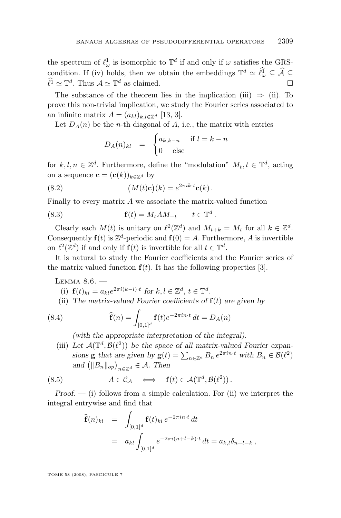<span id="page-31-0"></span>the spectrum of  $\ell_{\omega}^1$  is isomorphic to  $\mathbb{T}^d$  if and only if  $\omega$  satisfies the GRScondition. If (iv) holds, then we obtain the embeddings  $\mathbb{T}^d \simeq \hat{\ell}^1_{\omega} \subseteq \hat{\mathcal{A}} \subseteq$  $\hat{\ell}^{\hat{1}} \simeq \mathbb{T}^{d}$ . Thus  $\mathcal{A} \simeq \mathbb{T}^{d}$  as claimed.

The substance of the theorem lies in the implication (iii)  $\Rightarrow$  (ii). To prove this non-trivial implication, we study the Fourier series associated to an infinite matrix  $A = (a_{kl})_{k,l \in \mathbb{Z}^d}$  [\[13,](#page-34-0) [3\]](#page-34-0).

Let  $D_A(n)$  be the *n*-th diagonal of A, i.e., the matrix with entries

$$
D_A(n)_{kl} = \begin{cases} a_{k,k-n} & \text{if } l = k-n \\ 0 & \text{else} \end{cases}
$$

for  $k, l, n \in \mathbb{Z}^d$ . Furthermore, define the "modulation"  $M_t, t \in \mathbb{T}^d$ , acting on a sequence  $\mathbf{c} = (\mathbf{c}(k))_{k \in \mathbb{Z}^d}$  by

(8.2) 
$$
(M(t)\mathbf{c})(k) = e^{2\pi i k \cdot t} \mathbf{c}(k).
$$

Finally to every matrix A we associate the matrix-valued function

(8.3) 
$$
\mathbf{f}(t) = M_t A M_{-t} \qquad t \in \mathbb{T}^d.
$$

Clearly each  $M(t)$  is unitary on  $\ell^2(\mathbb{Z}^d)$  and  $M_{t+k} = M_t$  for all  $k \in \mathbb{Z}^d$ . Consequently  $f(t)$  is  $\mathbb{Z}^d$ -periodic and  $f(0) = A$ . Furthermore, A is invertible on  $\ell^2(\mathbb{Z}^d)$  if and only if  $\mathbf{f}(t)$  is invertible for all  $t \in \mathbb{T}^d$ .

It is natural to study the Fourier coefficients and the Fourier series of the matrix-valued function  $f(t)$ . It has the following properties [\[3\]](#page-34-0).

LEMMA  $8.6.$   $-$ 

- (i)  $f(t)_{kl} = a_{kl}e^{2\pi i(k-l)\cdot t}$  for  $k, l \in \mathbb{Z}^d, t \in \mathbb{T}^d$ .
- (ii) The matrix-valued Fourier coefficients of  $f(t)$  are given by

(8.4) 
$$
\widehat{\mathbf{f}}(n) = \int_{[0,1]^d} \mathbf{f}(t) e^{-2\pi i n \cdot t} dt = D_A(n)
$$

*(with the appropriate interpretation of the integral).*

(iii) Let  $\mathcal{A}(\mathbb{T}^d, \mathcal{B}(\ell^2))$  be the space of all matrix-valued Fourier expan*sions* **g** *that are given by* **g**(*t*) =  $\sum_{n \in \mathbb{Z}^d} B_n e^{2\pi i n \cdot t}$  *with*  $B_n \in \mathcal{B}(\ell^2)$ and  $\left( \|B_n\|_{op} \right)_{n \in \mathbb{Z}^d} \in \mathcal{A}$ . Then

(8.5) 
$$
A \in C_{\mathcal{A}} \iff
$$
  $f(t) \in \mathcal{A}(\mathbb{T}^d, \mathcal{B}(\ell^2))$ .

*Proof. —* (i) follows from a simple calculation. For (ii) we interpret the integral entrywise and find that

$$
\begin{aligned}\n\widehat{\mathbf{f}}(n)_{kl} &= \int_{[0,1]^d} \mathbf{f}(t)_{kl} \, e^{-2\pi i n \cdot t} \, dt \\
&= a_{kl} \int_{[0,1]^d} e^{-2\pi i (n+l-k) \cdot t} \, dt = a_{k,l} \delta_{n+l-k} \,,\n\end{aligned}
$$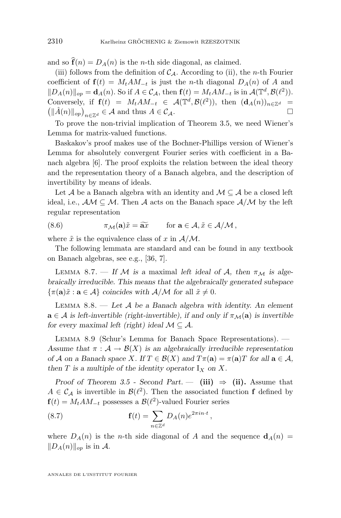<span id="page-32-0"></span>and so  $\hat{\mathbf{f}}(n) = D_A(n)$  is the *n*-th side diagonal, as claimed.

(iii) follows from the definition of  $C_A$ . According to (ii), the *n*-th Fourier coefficient of  $f(t) = M_t A M_{-t}$  is just the *n*-th diagonal  $D_A(n)$  of A and  $||D_A(n)||_{op} = \mathbf{d}_A(n)$ . So if  $A \in \mathcal{C}_{\mathcal{A}}$ , then  $\mathbf{f}(t) = M_t A M_{-t}$  is in  $\mathcal{A}(\mathbb{T}^d, \mathcal{B}(\ell^2))$ . Conversely, if  $f(t) = M_t A M_{-t} \in \mathcal{A}(\mathbb{T}^d, \mathcal{B}(\ell^2))$ , then  $(\mathbf{d}_A(n))_{n \in \mathbb{Z}^d}$  $\left(\|\hat{A}(n)\|_{op}\right)_{n\in\mathbb{Z}^d} \in \mathcal{A}$  and thus  $A \in \mathcal{C}_{\mathcal{A}}$ .

To prove the non-trivial implication of Theorem [3.5,](#page-10-0) we need Wiener's Lemma for matrix-valued functions.

Baskakov's proof makes use of the Bochner-Phillips version of Wiener's Lemma for absolutely convergent Fourier series with coefficient in a Banach algebra [\[6\]](#page-34-0). The proof exploits the relation between the ideal theory and the representation theory of a Banach algebra, and the description of invertibility by means of ideals.

Let  $A$  be a Banach algebra with an identity and  $M \subseteq A$  be a closed left ideal, i.e.,  $AM \subseteq M$ . Then A acts on the Banach space  $A/M$  by the left regular representation

(8.6) 
$$
\pi_{\mathcal{M}}(\mathbf{a})\tilde{x} = \widetilde{\mathbf{a}x} \quad \text{for } \mathbf{a} \in \mathcal{A}, \tilde{x} \in \mathcal{A}/\mathcal{M},
$$

where  $\tilde{x}$  is the equivalence class of x in  $\mathcal{A}/\mathcal{M}$ .

The following lemmata are standard and can be found in any textbook on Banach algebras, see e.g., [\[36,](#page-35-0) [7\]](#page-34-0).

LEMMA 8.7. — If M is a maximal left ideal of A, then  $\pi_{\mathcal{M}}$  is alge*braically irreducible. This means that the algebraically generated subspace*  $\{\pi(\mathbf{a})\tilde{x} : \mathbf{a} \in \mathcal{A}\}\$ coincides with  $\mathcal{A}/\mathcal{M}$  for all  $\tilde{x} \neq 0$ .

Lemma 8.8. — *Let* A *be a Banach algebra with identity. An element*  $a \in \mathcal{A}$  *is left-invertible (right-invertible), if and only if*  $\pi_{\mathcal{M}}(a)$  *is invertible for every maximal left (right) ideal*  $M \subseteq \mathcal{A}$ *.* 

Lemma 8.9 (Schur's Lemma for Banach Space Representations). — Assume that  $\pi : A \to \mathcal{B}(X)$  *is an algebraically irreducible representation of A on a Banach space X.* If  $T \in \mathcal{B}(X)$  and  $T\pi(\mathbf{a}) = \pi(\mathbf{a})T$  for all  $\mathbf{a} \in \mathcal{A}$ *, then*  $T$  *is a multiple of the identity operator*  $I_X$  *on*  $X$ *.* 

*Proof of Theorem [3.5](#page-10-0) - Second Part.* — (iii)  $\Rightarrow$  (ii). Assume that  $A \in \mathcal{C}_{\mathcal{A}}$  is invertible in  $\mathcal{B}(\ell^2)$ . Then the associated function f defined by  $\mathbf{f}(t) = M_t A M_{-t}$  possesses a  $\mathcal{B}(\ell^2)$ -valued Fourier series

(8.7) 
$$
\mathbf{f}(t) = \sum_{n \in \mathbb{Z}^d} D_A(n) e^{2\pi i n \cdot t},
$$

where  $D_A(n)$  is the *n*-th side diagonal of A and the sequence  $d_A(n)$  $||D_A(n)||_{op}$  is in A.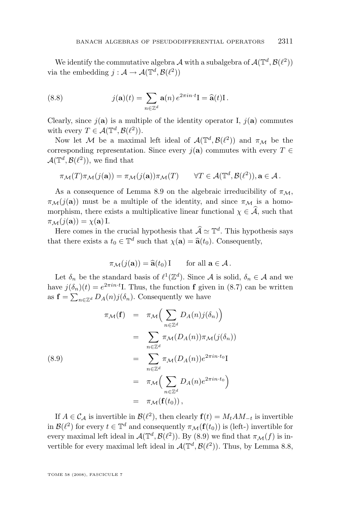We identify the commutative algebra A with a subalgebra of  $\mathcal{A}(\mathbb{T}^d, \mathcal{B}(\ell^2))$ via the embedding  $j : A \to \mathcal{A}(\mathbb{T}^d, \mathcal{B}(\ell^2))$ 

(8.8) 
$$
j(\mathbf{a})(t) = \sum_{n \in \mathbb{Z}^d} \mathbf{a}(n) e^{2\pi i n \cdot t} \mathbf{I} = \widehat{\mathbf{a}}(t) \mathbf{I}.
$$

Clearly, since  $j(\mathbf{a})$  is a multiple of the identity operator I,  $j(\mathbf{a})$  commutes with every  $T \in \mathcal{A}(\mathbb{T}^d, \mathcal{B}(\ell^2)).$ 

Now let M be a maximal left ideal of  $\mathcal{A}(\mathbb{T}^d, \mathcal{B}(\ell^2))$  and  $\pi_{\mathcal{M}}$  be the corresponding representation. Since every  $j(\mathbf{a})$  commutes with every  $T \in$  $\mathcal{A}(\mathbb{T}^d, \mathcal{B}(\ell^2)),$  we find that

$$
\pi_{\mathcal{M}}(T)\pi_{\mathcal{M}}(j(\mathbf{a})) = \pi_{\mathcal{M}}(j(\mathbf{a}))\pi_{\mathcal{M}}(T) \qquad \forall T \in \mathcal{A}(\mathbb{T}^d, \mathcal{B}(\ell^2)), \mathbf{a} \in \mathcal{A}.
$$

As a consequence of Lemma [8.9](#page-32-0) on the algebraic irreducibility of  $\pi_M$ ,  $\pi_{\mathcal{M}}(j(\mathbf{a}))$  must be a multiple of the identity, and since  $\pi_{\mathcal{M}}$  is a homomorphism, there exists a multiplicative linear functional  $\chi \in \mathcal{A}$ , such that  $\pi_{\mathcal{M}}(j(\mathbf{a})) = \chi(\mathbf{a}) \mathop{\mathrm{I}}\nolimits$ .

Here comes in the crucial hypothesis that  $\widehat{\mathcal{A}} \simeq \mathbb{T}^d$ . This hypothesis says that there exists a  $t_0 \in \mathbb{T}^d$  such that  $\chi(\mathbf{a}) = \hat{\mathbf{a}}(t_0)$ . Consequently,

$$
\pi_{\mathcal{M}}(j(\mathbf{a})) = \widehat{\mathbf{a}}(t_0) \mathbf{I} \qquad \text{for all } \mathbf{a} \in \mathcal{A}.
$$

Let  $\delta_n$  be the standard basis of  $\ell^1(\mathbb{Z}^d)$ . Since A is solid,  $\delta_n \in \mathcal{A}$  and we have  $j(\delta_n)(t) = e^{2\pi i n \cdot t}$ . Thus, the function **f** given in [\(8.7\)](#page-32-0) can be written as  $\mathbf{f} = \sum_{n \in \mathbb{Z}^d} D_A(n) j(\delta_n)$ . Consequently we have

(8.9)  
\n
$$
\pi_{\mathcal{M}}(\mathbf{f}) = \pi_{\mathcal{M}} \Big( \sum_{n \in \mathbb{Z}^d} D_A(n) j(\delta_n) \Big)
$$
\n
$$
= \sum_{n \in \mathbb{Z}^d} \pi_{\mathcal{M}} (D_A(n)) \pi_{\mathcal{M}} (j(\delta_n))
$$
\n
$$
= \sum_{n \in \mathbb{Z}^d} \pi_{\mathcal{M}} (D_A(n)) e^{2 \pi i n \cdot t_0} I
$$
\n
$$
= \pi_{\mathcal{M}} \Big( \sum_{n \in \mathbb{Z}^d} D_A(n) e^{2 \pi i n \cdot t_0} \Big)
$$
\n
$$
= \pi_{\mathcal{M}} (\mathbf{f}(t_0)),
$$

If  $A \in \mathcal{C}_{\mathcal{A}}$  is invertible in  $\mathcal{B}(\ell^2)$ , then clearly  $\mathbf{f}(t) = M_t A M_{-t}$  is invertible in  $\mathcal{B}(\ell^2)$  for every  $t \in \mathbb{T}^d$  and consequently  $\pi_{\mathcal{M}}(\mathbf{f}(t_0))$  is (left-) invertible for every maximal left ideal in  $\mathcal{A}(\mathbb{T}^d, \mathcal{B}(\ell^2))$ . By (8.9) we find that  $\pi_{\mathcal{M}}(f)$  is invertible for every maximal left ideal in  $\mathcal{A}(\mathbb{T}^d, \mathcal{B}(\ell^2))$ . Thus, by Lemma [8.8,](#page-32-0)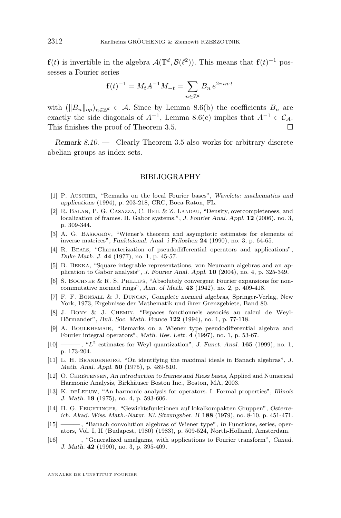<span id="page-34-0"></span> $f(t)$  is invertible in the algebra  $\mathcal{A}(\mathbb{T}^d, \mathcal{B}(\ell^2))$ . This means that  $f(t)^{-1}$  possesses a Fourier series

$$
\mathbf{f}(t)^{-1} = M_t A^{-1} M_{-t} = \sum_{n \in \mathbb{Z}^d} B_n e^{2\pi i n \cdot t}
$$

with  $(\|B_n\|_{op})_{n\in\mathbb{Z}^d} \in \mathcal{A}$ . Since by Lemma [8.6\(](#page-31-0)b) the coefficients  $B_n$  are exactly the side diagonals of  $A^{-1}$ , Lemma [8.6\(](#page-31-0)c) implies that  $A^{-1} \in \mathcal{C}_{\mathcal{A}}$ . This finishes the proof of Theorem [3.5.](#page-10-0)

*Remark 8.10. —* Clearly Theorem [3.5](#page-10-0) also works for arbitrary discrete abelian groups as index sets.

#### BIBLIOGRAPHY

- [1] P. Auscher, "Remarks on the local Fourier bases", *Wavelets: mathematics and applications* (1994), p. 203-218, CRC, Boca Raton, FL.
- [2] R. Balan, P. G. Casazza, C. Heil & Z. Landau, "Density, overcompleteness, and localization of frames. II. Gabor systems.", *J. Fourier Anal. Appl.* **12** (2006), no. 3, p. 309-344.
- [3] A. G. Baskakov, "Wiener's theorem and asymptotic estimates for elements of inverse matrices", *Funktsional. Anal. i Prilozhen* **24** (1990), no. 3, p. 64-65.
- [4] R. Beals, "Characterization of pseudodifferential operators and applications", *Duke Math. J.* **44** (1977), no. 1, p. 45-57.
- [5] B. Bekka, "Square integrable representations, von Neumann algebras and an application to Gabor analysis", *J. Fourier Anal. Appl.* **10** (2004), no. 4, p. 325-349.
- [6] S. BOCHNER & R. S. PHILLIPS, "Absolutely convergent Fourier expansions for noncommutative normed rings", *Ann. of Math.* **43** (1942), no. 2, p. 409-418.
- [7] F. F. Bonsall & J. Duncan, *Complete normed algebras*, Springer-Verlag, New York, 1973, Ergebnisse der Mathematik und ihrer Grenzgebiete, Band 80.
- [8] J. Bony & J. Chemin, "Espaces fonctionnels associés au calcul de Weyl-Hörmander", *Bull. Soc. Math. France* **122** (1994), no. 1, p. 77-118.
- [9] A. Boulkhemair, "Remarks on a Wiener type pseudodifferential algebra and Fourier integral operators", *Math. Res. Lett.* **4** (1997), no. 1, p. 53-67.
- [10] ——— , "L<sup>2</sup> estimates for Weyl quantization", *J. Funct. Anal.* **165** (1999), no. 1, p. 173-204.
- [11] L. H. Brandenburg, "On identifying the maximal ideals in Banach algebras", *J. Math. Anal. Appl.* **50** (1975), p. 489-510.
- [12] O. Christensen, *An introduction to frames and Riesz bases*, Applied and Numerical Harmonic Analysis, Birkhäuser Boston Inc., Boston, MA, 2003.
- [13] K. deLeeuw, "An harmonic analysis for operators. I. Formal properties", *Illinois J. Math.* **19** (1975), no. 4, p. 593-606.
- [14] H. G. Feichtinger, "Gewichtsfunktionen auf lokalkompakten Gruppen", *Österreich. Akad. Wiss. Math.-Natur. Kl. Sitzungsber. II* **188** (1979), no. 8-10, p. 451-471.
- [15] ——— , "Banach convolution algebras of Wiener type", *In* Functions, series, operators, Vol. I, II (Budapest, 1980) (1983), p. 509-524, North-Holland, Amsterdam.
- [16] ——— , "Generalized amalgams, with applications to Fourier transform", *Canad. J. Math.* **42** (1990), no. 3, p. 395-409.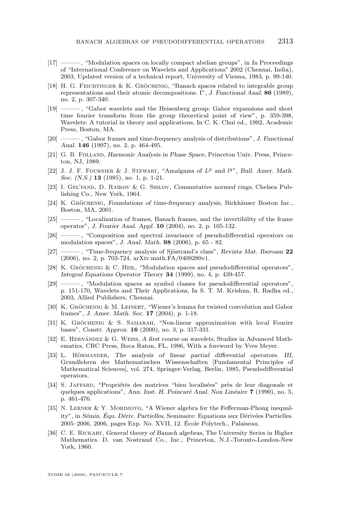- <span id="page-35-0"></span>[17] ——— , "Modulation spaces on locally compact abelian groups", in *In* Proceedings of "International Conference on Wavelets and Applications" 2002 (Chennai, India), 2003, Updated version of a technical report, University of Vienna, 1983, p. 99-140.
- [18] H. G. Feichtinger & K. Gröchenig, "Banach spaces related to integrable group representations and their atomic decompositions. I", *J. Functional Anal.* **86** (1989), no. 2, p. 307-340.
- [19] ——— , "Gabor wavelets and the Heisenberg group: Gabor expansions and short time fourier transform from the group theoretical point of view", p. 359-398, Wavelets: A tutorial in theory and applications, In C. K. Chui ed., 1992, Academic Press, Boston, MA.
- [20] ——— , "Gabor frames and time-frequency analysis of distributions", *J. Functional Anal.* **146** (1997), no. 2, p. 464-495.
- [21] G. B. Folland, *Harmonic Analysis in Phase Space*, Princeton Univ. Press, Princeton, NJ, 1989.
- [22] J. J. F. FOURNIER & J. STEWART, "Amalgams of  $L^p$  and  $l^{q}$ ", *Bull. Amer. Math. Soc. (N.S.)* **13** (1985), no. 1, p. 1-21.
- [23] I. Gel'fand, D. Raikov & G. Shilov, *Commutative normed rings*, Chelsea Publishing Co., New York, 1964.
- [24] K. Gröchenig, *Foundations of time-frequency analysis*, Birkhäuser Boston Inc., Boston, MA, 2001.
- [25] ——— , "Localization of frames, Banach frames, and the invertibility of the frame operator", *J. Fourier Anal. Appl.* **10** (2004), no. 2, p. 105-132.
- [26] ——— , "Composition and spectral invariance of pseudodifferential operators on modulation spaces", *J. Anal. Math.* **98** (2006), p. 65 - 82.
- [27] ——— , "Time-frequency analysis of Sjöstrand's class", *Revista Mat. Iberoam* **22** (2006), no. 2, p. 703-724, arXiv:math.FA/0409280v1.
- [28] K. Gröchenig & C. Heil, "Modulation spaces and pseudodifferential operators", *Integral Equations Operator Theory* **34** (1999), no. 4, p. 439-457.
- [29] ——— , "Modulation spaces as symbol classes for pseudodifferential operators", p. 151-170, Wavelets and Their Applications, In S. T. M. Krishna, R. Radha ed., 2003, Allied Publishers, Chennai.
- [30] K. GRÖCHENIG & M. LEINERT, "Wiener's lemma for twisted convolution and Gabor frames", *J. Amer. Math. Soc.* **17** (2004), p. 1-18.
- [31] K. GRÖCHENIG & S. SAMARAH, "Non-linear approximation with local Fourier bases", *Constr. Approx.* **16** (2000), no. 3, p. 317-331.
- [32] E. Hernández & G. Weiss, *A first course on wavelets*, Studies in Advanced Mathematics, CRC Press, Boca Raton, FL, 1996, With a foreword by Yves Meyer.
- [33] L. Hörmander, *The analysis of linear partial differential operators. III*, Grundlehren der Mathematischen Wissenschaften [Fundamental Principles of Mathematical Sciences], vol. 274, Springer-Verlag, Berlin, 1985, Pseudodifferential operators.
- [34] S. Jaffard, "Propriétés des matrices "bien localisées" près de leur diagonale et quelques applications", *Ann. Inst. H. Poincaré Anal. Non Linéaire* **7** (1990), no. 5, p. 461-476.
- [35] N. Lerner & Y. Morimoto, "A Wiener algebra for the Fefferman-Phong inequality", in *Sémin. Équ. Dériv. Partielles*, Seminaire: Equations aux Dérivées Partielles. 2005–2006, 2006, pages Exp. No. XVII, 12. École Polytech., Palaiseau.
- [36] C. E. Rickart, *General theory of Banach algebras*, The University Series in Higher Mathematics. D. van Nostrand Co., Inc., Princeton, N.J.-Toronto-London-New York, 1960.